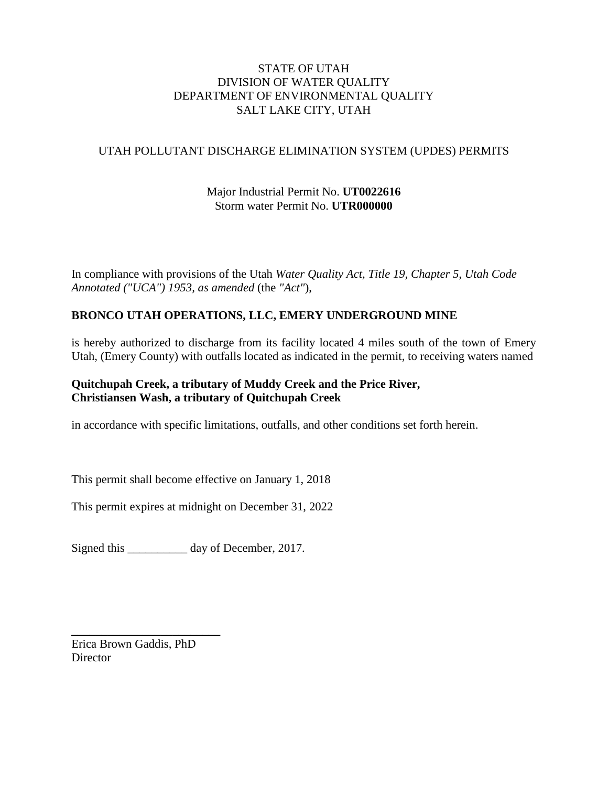## STATE OF UTAH DIVISION OF WATER QUALITY DEPARTMENT OF ENVIRONMENTAL QUALITY SALT LAKE CITY, UTAH

## UTAH POLLUTANT DISCHARGE ELIMINATION SYSTEM (UPDES) PERMITS

# Major Industrial Permit No. **UT0022616** Storm water Permit No. **UTR000000**

In compliance with provisions of the Utah *Water Quality Act, Title 19, Chapter 5, Utah Code Annotated ("UCA") 1953, as amended* (the *"Act"*),

# **BRONCO UTAH OPERATIONS, LLC, EMERY UNDERGROUND MINE**

is hereby authorized to discharge from its facility located 4 miles south of the town of Emery Utah, (Emery County) with outfalls located as indicated in the permit, to receiving waters named

## **Quitchupah Creek, a tributary of Muddy Creek and the Price River, Christiansen Wash, a tributary of Quitchupah Creek**

in accordance with specific limitations, outfalls, and other conditions set forth herein.

This permit shall become effective on January 1, 2018

This permit expires at midnight on December 31, 2022

Signed this \_\_\_\_\_\_\_\_\_\_ day of December, 2017.

 $\overline{\phantom{a}}$  , where  $\overline{\phantom{a}}$  , where  $\overline{\phantom{a}}$  , where  $\overline{\phantom{a}}$ Erica Brown Gaddis, PhD **Director**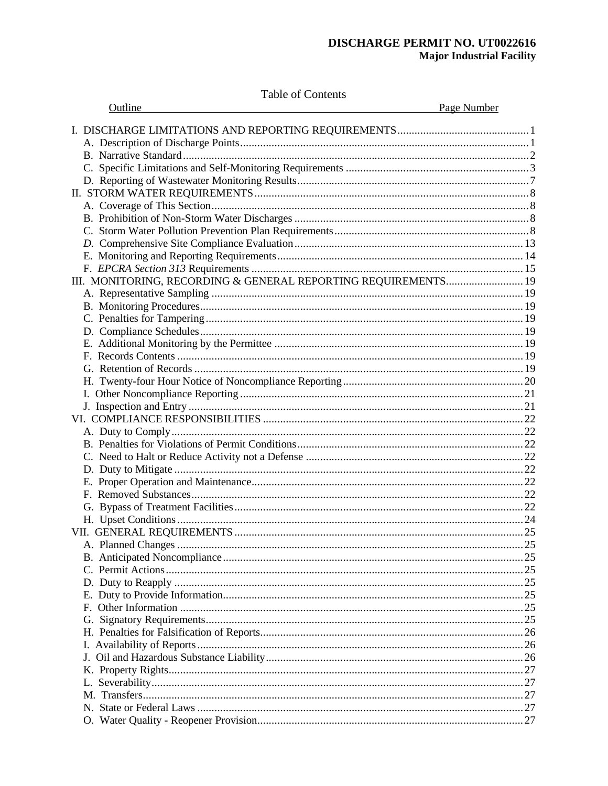## DISCHARGE PERMIT NO. UT0022616 **Major Industrial Facility**

Table of Contents

| Outline                                                        | <u>Page Number</u> |
|----------------------------------------------------------------|--------------------|
|                                                                |                    |
|                                                                |                    |
|                                                                |                    |
|                                                                |                    |
|                                                                |                    |
|                                                                |                    |
|                                                                |                    |
|                                                                |                    |
|                                                                |                    |
|                                                                |                    |
|                                                                |                    |
|                                                                |                    |
| III. MONITORING, RECORDING & GENERAL REPORTING REQUIREMENTS 19 |                    |
|                                                                |                    |
|                                                                |                    |
|                                                                |                    |
|                                                                |                    |
|                                                                |                    |
|                                                                |                    |
|                                                                |                    |
|                                                                |                    |
|                                                                |                    |
|                                                                |                    |
|                                                                |                    |
|                                                                |                    |
|                                                                |                    |
|                                                                |                    |
|                                                                |                    |
|                                                                |                    |
|                                                                |                    |
|                                                                |                    |
|                                                                |                    |
|                                                                |                    |
|                                                                |                    |
|                                                                |                    |
|                                                                |                    |
|                                                                |                    |
|                                                                |                    |
|                                                                |                    |
|                                                                |                    |
|                                                                |                    |
|                                                                |                    |
|                                                                |                    |
|                                                                |                    |
|                                                                |                    |
|                                                                |                    |
|                                                                |                    |
|                                                                |                    |
|                                                                |                    |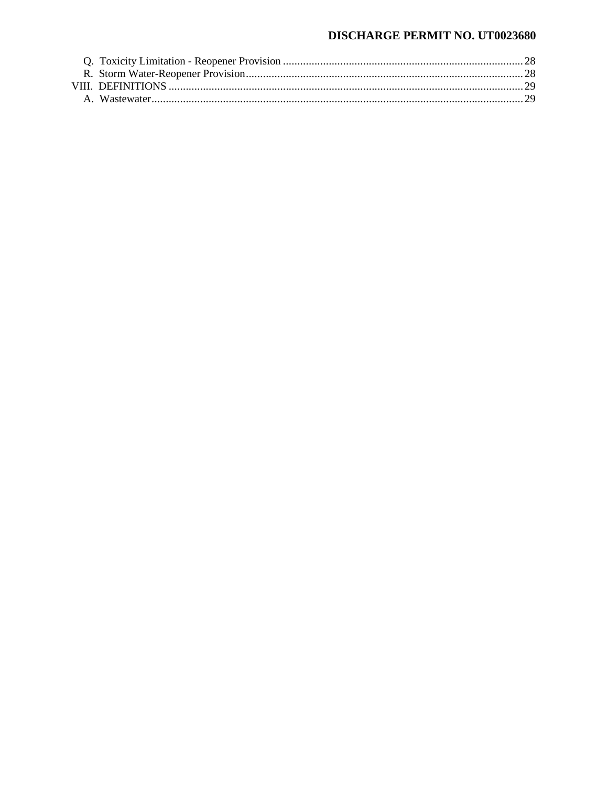## DISCHARGE PERMIT NO. UT0023680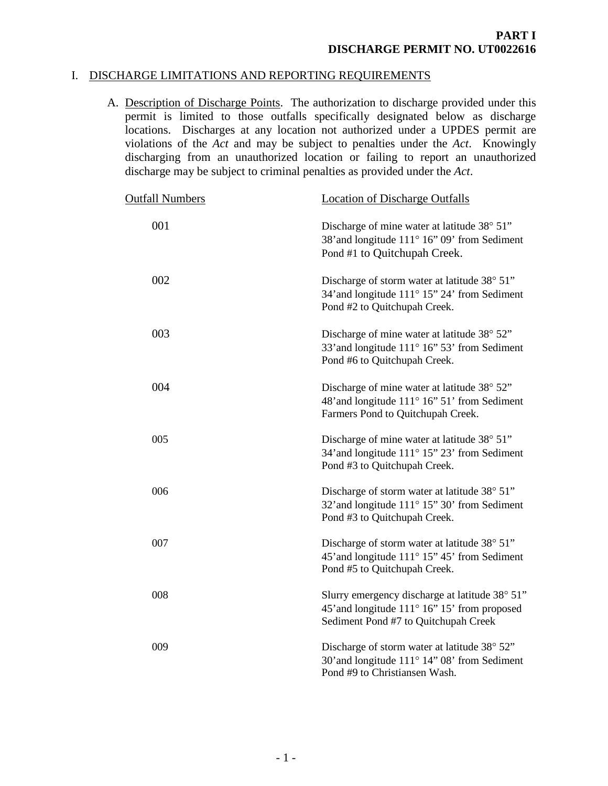## I. DISCHARGE LIMITATIONS AND REPORTING REQUIREMENTS

<span id="page-3-1"></span><span id="page-3-0"></span>A. Description of Discharge Points. The authorization to discharge provided under this permit is limited to those outfalls specifically designated below as discharge locations. Discharges at any location not authorized under a UPDES permit are violations of the *Act* and may be subject to penalties under the *Act*. Knowingly discharging from an unauthorized location or failing to report an unauthorized discharge may be subject to criminal penalties as provided under the *Act*.

| <b>Outfall Numbers</b> | <b>Location of Discharge Outfalls</b>                                                                                                  |
|------------------------|----------------------------------------------------------------------------------------------------------------------------------------|
| 001                    | Discharge of mine water at latitude 38° 51"<br>38' and longitude 111° 16" 09' from Sediment<br>Pond #1 to Quitchupah Creek.            |
| 002                    | Discharge of storm water at latitude 38° 51"<br>34' and longitude 111° 15" 24' from Sediment<br>Pond #2 to Quitchupah Creek.           |
| 003                    | Discharge of mine water at latitude 38° 52"<br>33' and longitude 111° 16" 53' from Sediment<br>Pond #6 to Quitchupah Creek.            |
| 004                    | Discharge of mine water at latitude 38° 52"<br>48' and longitude 111° 16" 51' from Sediment<br>Farmers Pond to Quitchupah Creek.       |
| 005                    | Discharge of mine water at latitude 38° 51"<br>34' and longitude 111° 15" 23' from Sediment<br>Pond #3 to Quitchupah Creek.            |
| 006                    | Discharge of storm water at latitude 38° 51"<br>32' and longitude 111° 15" 30' from Sediment<br>Pond #3 to Quitchupah Creek.           |
| 007                    | Discharge of storm water at latitude 38° 51"<br>45' and longitude 111° 15" 45' from Sediment<br>Pond #5 to Quitchupah Creek.           |
| 008                    | Slurry emergency discharge at latitude 38° 51"<br>45' and longitude 111° 16" 15' from proposed<br>Sediment Pond #7 to Quitchupah Creek |
| 009                    | Discharge of storm water at latitude 38° 52"<br>30' and longitude 111° 14" 08' from Sediment<br>Pond #9 to Christiansen Wash.          |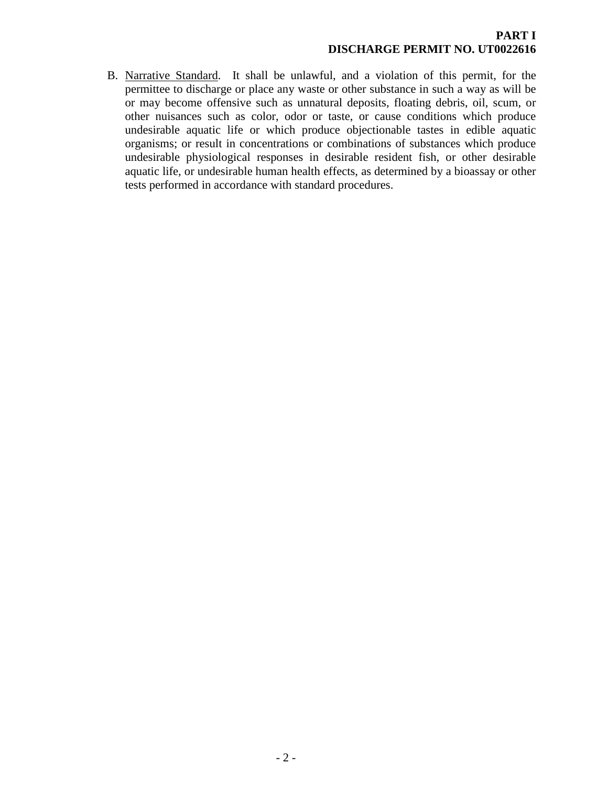<span id="page-4-0"></span>B. Narrative Standard. It shall be unlawful, and a violation of this permit, for the permittee to discharge or place any waste or other substance in such a way as will be or may become offensive such as unnatural deposits, floating debris, oil, scum, or other nuisances such as color, odor or taste, or cause conditions which produce undesirable aquatic life or which produce objectionable tastes in edible aquatic organisms; or result in concentrations or combinations of substances which produce undesirable physiological responses in desirable resident fish, or other desirable aquatic life, or undesirable human health effects, as determined by a bioassay or other tests performed in accordance with standard procedures.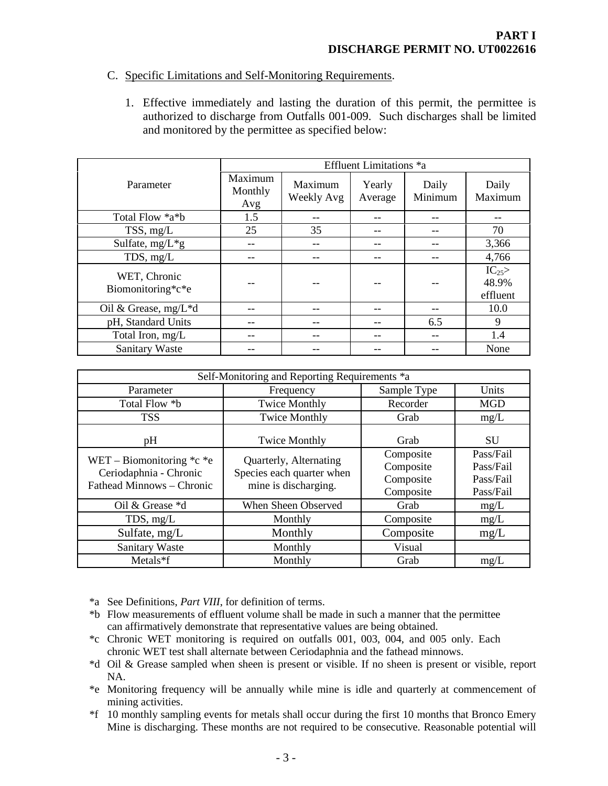## C. Specific Limitations and Self-Monitoring Requirements.

<span id="page-5-0"></span>1. Effective immediately and lasting the duration of this permit, the permittee is authorized to discharge from Outfalls 001-009. Such discharges shall be limited and monitored by the permittee as specified below:

|                                   | Effluent Limitations *a   |                       |                   |                  |                                |
|-----------------------------------|---------------------------|-----------------------|-------------------|------------------|--------------------------------|
| Parameter                         | Maximum<br>Monthly<br>Avg | Maximum<br>Weekly Avg | Yearly<br>Average | Daily<br>Minimum | Daily<br>Maximum               |
| Total Flow *a*b                   | 1.5                       |                       |                   |                  |                                |
| TSS, mg/L                         | 25                        | 35                    | --                |                  | 70                             |
| Sulfate, $mg/L*g$                 |                           |                       |                   |                  | 3,366                          |
| TDS, mg/L                         | $- -$                     |                       | --                |                  | 4,766                          |
| WET, Chronic<br>Biomonitoring*c*e |                           |                       |                   |                  | $IC_{25}$<br>48.9%<br>effluent |
| Oil & Grease, $mg/L * d$          | --                        |                       |                   |                  | 10.0                           |
| pH, Standard Units                |                           |                       |                   | 6.5              | 9                              |
| Total Iron, mg/L                  | --                        |                       | --                |                  | 1.4                            |
| <b>Sanitary Waste</b>             |                           |                       |                   |                  | None                           |

| Self-Monitoring and Reporting Requirements *a                                                                                                                                   |                              |                                                  |                                                  |  |
|---------------------------------------------------------------------------------------------------------------------------------------------------------------------------------|------------------------------|--------------------------------------------------|--------------------------------------------------|--|
| Parameter                                                                                                                                                                       | Frequency                    | Sample Type                                      | Units                                            |  |
| Total Flow *b                                                                                                                                                                   | <b>Twice Monthly</b>         | Recorder                                         |                                                  |  |
| <b>TSS</b>                                                                                                                                                                      | <b>Twice Monthly</b><br>Grab |                                                  | mg/L                                             |  |
| pH                                                                                                                                                                              | <b>Twice Monthly</b>         | Grab                                             | <b>SU</b>                                        |  |
| WET – Biomonitoring $\text{*c} \text{*e}$<br>Quarterly, Alternating<br>Species each quarter when<br>Ceriodaphnia - Chronic<br>Fathead Minnows – Chronic<br>mine is discharging. |                              | Composite<br>Composite<br>Composite<br>Composite | Pass/Fail<br>Pass/Fail<br>Pass/Fail<br>Pass/Fail |  |
| Oil & Grease *d                                                                                                                                                                 | When Sheen Observed          | Grab                                             | mg/L                                             |  |
| TDS, $mg/L$                                                                                                                                                                     | Monthly                      | Composite                                        | mg/L                                             |  |
| Sulfate, $mg/L$                                                                                                                                                                 | Monthly                      | Composite                                        | mg/L                                             |  |
| <b>Sanitary Waste</b>                                                                                                                                                           | Monthly                      | Visual                                           |                                                  |  |
| $Metals*f$                                                                                                                                                                      | Monthly                      | Grab                                             | mg/L                                             |  |

\*a See Definitions, *Part VIII*, for definition of terms.

- \*b Flow measurements of effluent volume shall be made in such a manner that the permittee can affirmatively demonstrate that representative values are being obtained.
- \*c Chronic WET monitoring is required on outfalls 001, 003, 004, and 005 only. Each chronic WET test shall alternate between Ceriodaphnia and the fathead minnows.
- \*d Oil & Grease sampled when sheen is present or visible. If no sheen is present or visible, report NA.
- \*e Monitoring frequency will be annually while mine is idle and quarterly at commencement of mining activities.
- \*f 10 monthly sampling events for metals shall occur during the first 10 months that Bronco Emery Mine is discharging. These months are not required to be consecutive. Reasonable potential will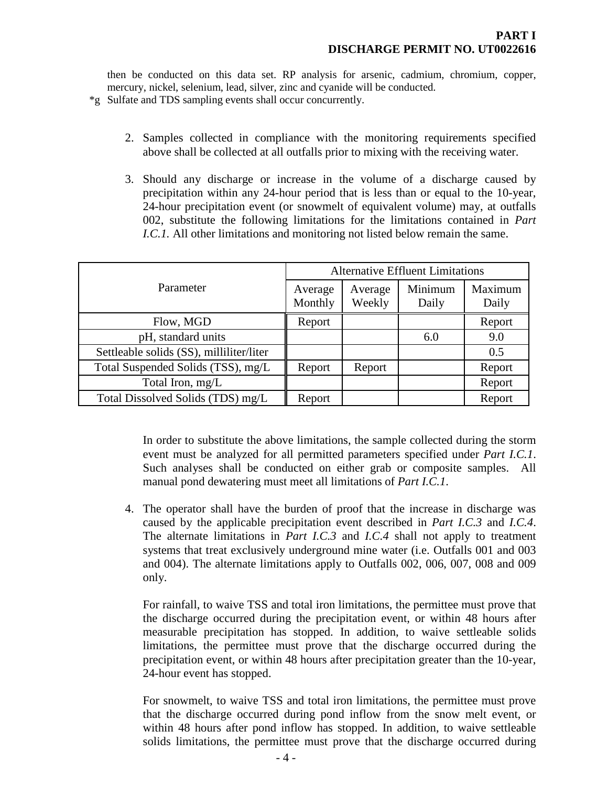then be conducted on this data set. RP analysis for arsenic, cadmium, chromium, copper, mercury, nickel, selenium, lead, silver, zinc and cyanide will be conducted.

\*g Sulfate and TDS sampling events shall occur concurrently.

- 2. Samples collected in compliance with the monitoring requirements specified above shall be collected at all outfalls prior to mixing with the receiving water.
- 3. Should any discharge or increase in the volume of a discharge caused by precipitation within any 24-hour period that is less than or equal to the 10-year, 24-hour precipitation event (or snowmelt of equivalent volume) may, at outfalls 002, substitute the following limitations for the limitations contained in *Part I.C.1.* All other limitations and monitoring not listed below remain the same.

|                                          | <b>Alternative Effluent Limitations</b> |         |         |         |
|------------------------------------------|-----------------------------------------|---------|---------|---------|
| Parameter                                | Average                                 | Average | Minimum | Maximum |
|                                          | Monthly                                 | Weekly  | Daily   | Daily   |
| Flow, MGD                                | Report                                  |         |         | Report  |
| pH, standard units                       |                                         |         | 6.0     | 9.0     |
| Settleable solids (SS), milliliter/liter |                                         |         |         | 0.5     |
| Total Suspended Solids (TSS), mg/L       | Report                                  | Report  |         | Report  |
| Total Iron, mg/L                         |                                         |         |         | Report  |
| Total Dissolved Solids (TDS) mg/L        | Report                                  |         |         | Report  |

In order to substitute the above limitations, the sample collected during the storm event must be analyzed for all permitted parameters specified under *Part I.C.1*. Such analyses shall be conducted on either grab or composite samples. All manual pond dewatering must meet all limitations of *Part I.C.1*.

4. The operator shall have the burden of proof that the increase in discharge was caused by the applicable precipitation event described in *Part I.C.3* and *I.C.4*. The alternate limitations in *Part I.C.3* and *I.C.4* shall not apply to treatment systems that treat exclusively underground mine water (i.e. Outfalls 001 and 003 and 004). The alternate limitations apply to Outfalls 002, 006, 007, 008 and 009 only.

For rainfall, to waive TSS and total iron limitations, the permittee must prove that the discharge occurred during the precipitation event, or within 48 hours after measurable precipitation has stopped. In addition, to waive settleable solids limitations, the permittee must prove that the discharge occurred during the precipitation event, or within 48 hours after precipitation greater than the 10-year, 24-hour event has stopped.

For snowmelt, to waive TSS and total iron limitations, the permittee must prove that the discharge occurred during pond inflow from the snow melt event, or within 48 hours after pond inflow has stopped. In addition, to waive settleable solids limitations, the permittee must prove that the discharge occurred during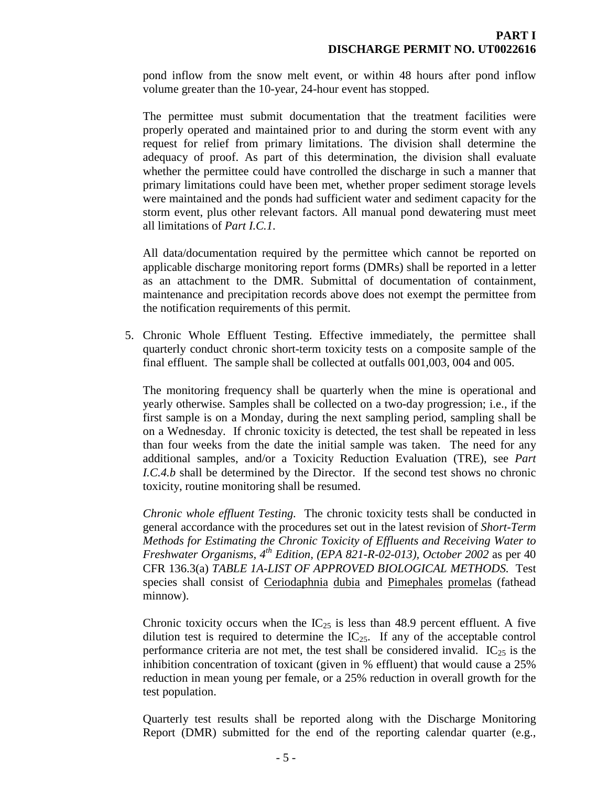pond inflow from the snow melt event, or within 48 hours after pond inflow volume greater than the 10-year, 24-hour event has stopped.

The permittee must submit documentation that the treatment facilities were properly operated and maintained prior to and during the storm event with any request for relief from primary limitations. The division shall determine the adequacy of proof. As part of this determination, the division shall evaluate whether the permittee could have controlled the discharge in such a manner that primary limitations could have been met, whether proper sediment storage levels were maintained and the ponds had sufficient water and sediment capacity for the storm event, plus other relevant factors. All manual pond dewatering must meet all limitations of *Part I.C.1*.

All data/documentation required by the permittee which cannot be reported on applicable discharge monitoring report forms (DMRs) shall be reported in a letter as an attachment to the DMR. Submittal of documentation of containment, maintenance and precipitation records above does not exempt the permittee from the notification requirements of this permit.

5. Chronic Whole Effluent Testing. Effective immediately, the permittee shall quarterly conduct chronic short-term toxicity tests on a composite sample of the final effluent. The sample shall be collected at outfalls 001,003, 004 and 005.

The monitoring frequency shall be quarterly when the mine is operational and yearly otherwise. Samples shall be collected on a two-day progression; i.e., if the first sample is on a Monday, during the next sampling period, sampling shall be on a Wednesday. If chronic toxicity is detected, the test shall be repeated in less than four weeks from the date the initial sample was taken. The need for any additional samples, and/or a Toxicity Reduction Evaluation (TRE), see *Part I.C.4.b* shall be determined by the Director. If the second test shows no chronic toxicity, routine monitoring shall be resumed.

*Chronic whole effluent Testing.* The chronic toxicity tests shall be conducted in general accordance with the procedures set out in the latest revision of *Short-Term Methods for Estimating the Chronic Toxicity of Effluents and Receiving Water to Freshwater Organisms, 4th Edition, (EPA 821-R-02-013), October 2002* as per 40 CFR 136.3(a) *TABLE 1A-LIST OF APPROVED BIOLOGICAL METHODS.* Test species shall consist of Ceriodaphnia dubia and Pimephales promelas (fathead minnow).

Chronic toxicity occurs when the  $IC_{25}$  is less than 48.9 percent effluent. A five dilution test is required to determine the  $IC_{25}$ . If any of the acceptable control performance criteria are not met, the test shall be considered invalid.  $IC_{25}$  is the inhibition concentration of toxicant (given in % effluent) that would cause a 25% reduction in mean young per female, or a 25% reduction in overall growth for the test population.

Quarterly test results shall be reported along with the Discharge Monitoring Report (DMR) submitted for the end of the reporting calendar quarter (e.g.,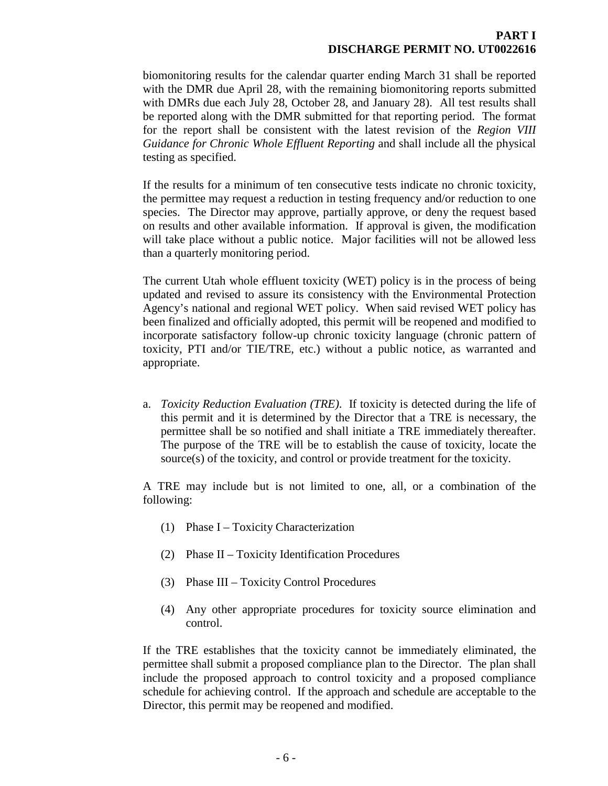## **PART I DISCHARGE PERMIT NO. UT0022616**

biomonitoring results for the calendar quarter ending March 31 shall be reported with the DMR due April 28, with the remaining biomonitoring reports submitted with DMRs due each July 28, October 28, and January 28). All test results shall be reported along with the DMR submitted for that reporting period. The format for the report shall be consistent with the latest revision of the *Region VIII Guidance for Chronic Whole Effluent Reporting* and shall include all the physical testing as specified.

If the results for a minimum of ten consecutive tests indicate no chronic toxicity, the permittee may request a reduction in testing frequency and/or reduction to one species. The Director may approve, partially approve, or deny the request based on results and other available information. If approval is given, the modification will take place without a public notice. Major facilities will not be allowed less than a quarterly monitoring period.

The current Utah whole effluent toxicity (WET) policy is in the process of being updated and revised to assure its consistency with the Environmental Protection Agency's national and regional WET policy. When said revised WET policy has been finalized and officially adopted, this permit will be reopened and modified to incorporate satisfactory follow-up chronic toxicity language (chronic pattern of toxicity, PTI and/or TIE/TRE, etc.) without a public notice, as warranted and appropriate.

a. *Toxicity Reduction Evaluation (TRE)*. If toxicity is detected during the life of this permit and it is determined by the Director that a TRE is necessary, the permittee shall be so notified and shall initiate a TRE immediately thereafter. The purpose of the TRE will be to establish the cause of toxicity, locate the source(s) of the toxicity, and control or provide treatment for the toxicity.

A TRE may include but is not limited to one, all, or a combination of the following:

- (1) Phase I Toxicity Characterization
- (2) Phase II Toxicity Identification Procedures
- (3) Phase III Toxicity Control Procedures
- (4) Any other appropriate procedures for toxicity source elimination and control.

If the TRE establishes that the toxicity cannot be immediately eliminated, the permittee shall submit a proposed compliance plan to the Director. The plan shall include the proposed approach to control toxicity and a proposed compliance schedule for achieving control. If the approach and schedule are acceptable to the Director, this permit may be reopened and modified.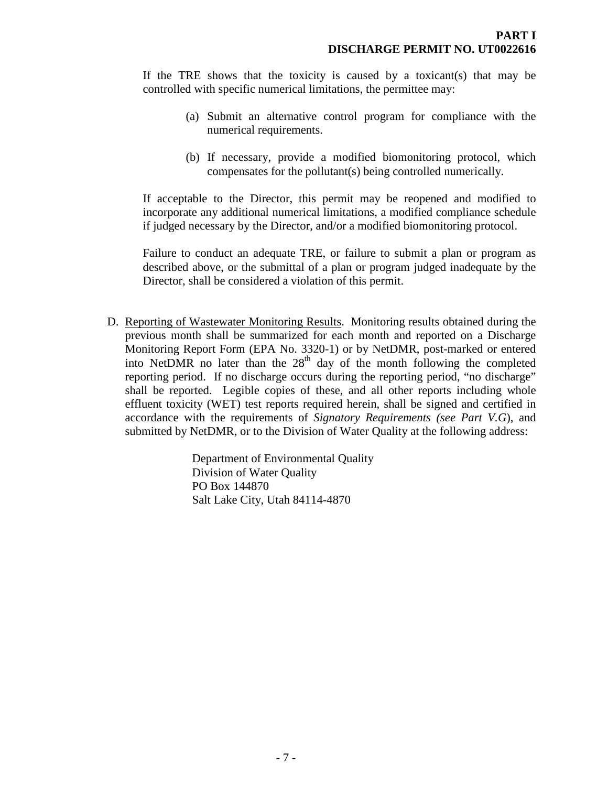If the TRE shows that the toxicity is caused by a toxicant(s) that may be controlled with specific numerical limitations, the permittee may:

- (a) Submit an alternative control program for compliance with the numerical requirements.
- (b) If necessary, provide a modified biomonitoring protocol, which compensates for the pollutant(s) being controlled numerically.

If acceptable to the Director, this permit may be reopened and modified to incorporate any additional numerical limitations, a modified compliance schedule if judged necessary by the Director, and/or a modified biomonitoring protocol.

Failure to conduct an adequate TRE, or failure to submit a plan or program as described above, or the submittal of a plan or program judged inadequate by the Director, shall be considered a violation of this permit.

D. Reporting of Wastewater Monitoring Results. Monitoring results obtained during the previous month shall be summarized for each month and reported on a Discharge Monitoring Report Form (EPA No. 3320-1) or by NetDMR, post-marked or entered into NetDMR no later than the  $28<sup>th</sup>$  day of the month following the completed reporting period. If no discharge occurs during the reporting period, "no discharge" shall be reported. Legible copies of these, and all other reports including whole effluent toxicity (WET) test reports required herein, shall be signed and certified in accordance with the requirements of *Signatory Requirements (see Part V.G*), and submitted by NetDMR, or to the Division of Water Quality at the following address:

> <span id="page-9-0"></span>Department of Environmental Quality Division of Water Quality PO Box 144870 Salt Lake City, Utah 84114-4870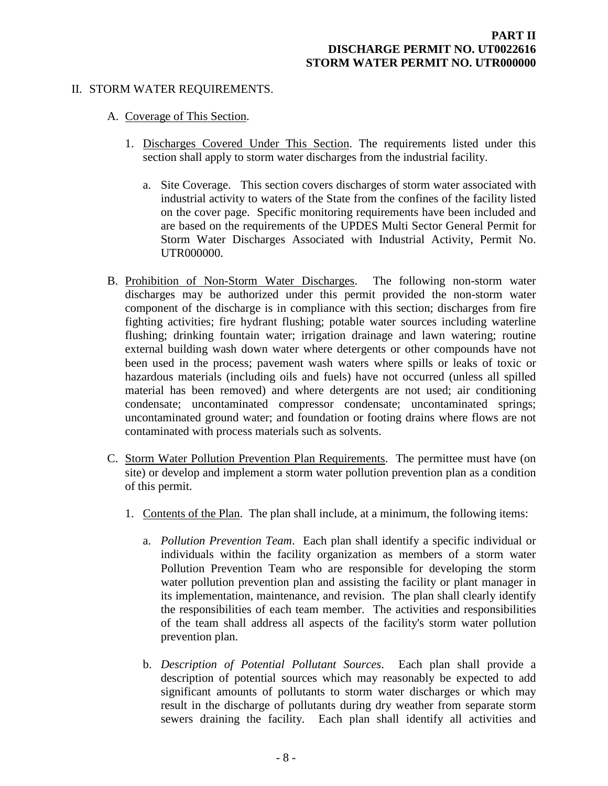#### II. STORM WATER REQUIREMENTS.

- <span id="page-10-1"></span><span id="page-10-0"></span>A. Coverage of This Section.
	- 1. Discharges Covered Under This Section. The requirements listed under this section shall apply to storm water discharges from the industrial facility.
		- a. Site Coverage. This section covers discharges of storm water associated with industrial activity to waters of the State from the confines of the facility listed on the cover page. Specific monitoring requirements have been included and are based on the requirements of the UPDES Multi Sector General Permit for Storm Water Discharges Associated with Industrial Activity, Permit No. UTR000000.
- <span id="page-10-2"></span>B. Prohibition of Non-Storm Water Discharges. The following non-storm water discharges may be authorized under this permit provided the non-storm water component of the discharge is in compliance with this section; discharges from fire fighting activities; fire hydrant flushing; potable water sources including waterline flushing; drinking fountain water; irrigation drainage and lawn watering; routine external building wash down water where detergents or other compounds have not been used in the process; pavement wash waters where spills or leaks of toxic or hazardous materials (including oils and fuels) have not occurred (unless all spilled material has been removed) and where detergents are not used; air conditioning condensate; uncontaminated compressor condensate; uncontaminated springs; uncontaminated ground water; and foundation or footing drains where flows are not contaminated with process materials such as solvents.
- <span id="page-10-3"></span>C. Storm Water Pollution Prevention Plan Requirements. The permittee must have (on site) or develop and implement a storm water pollution prevention plan as a condition of this permit.
	- 1. Contents of the Plan. The plan shall include, at a minimum, the following items:
		- a. *Pollution Prevention Team*. Each plan shall identify a specific individual or individuals within the facility organization as members of a storm water Pollution Prevention Team who are responsible for developing the storm water pollution prevention plan and assisting the facility or plant manager in its implementation, maintenance, and revision. The plan shall clearly identify the responsibilities of each team member. The activities and responsibilities of the team shall address all aspects of the facility's storm water pollution prevention plan.
		- b. *Description of Potential Pollutant Sources*. Each plan shall provide a description of potential sources which may reasonably be expected to add significant amounts of pollutants to storm water discharges or which may result in the discharge of pollutants during dry weather from separate storm sewers draining the facility. Each plan shall identify all activities and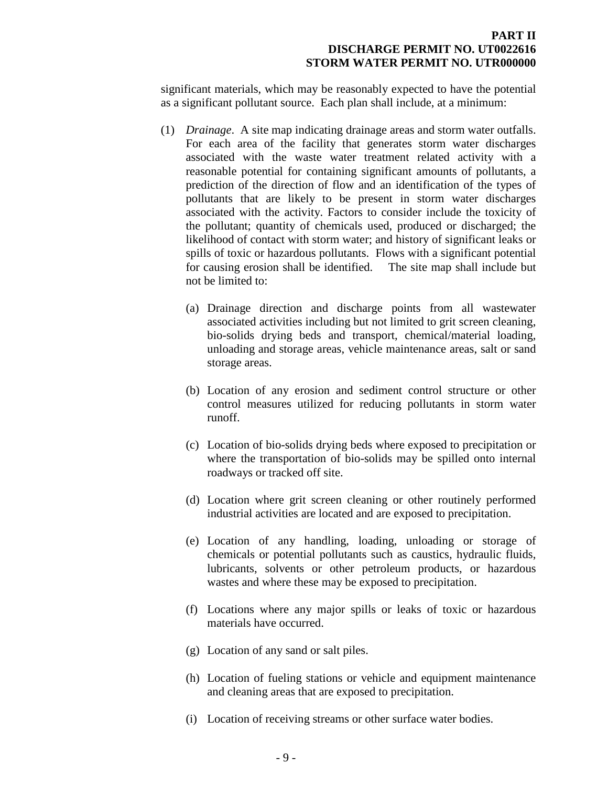significant materials, which may be reasonably expected to have the potential as a significant pollutant source. Each plan shall include, at a minimum:

- (1) *Drainage*. A site map indicating drainage areas and storm water outfalls. For each area of the facility that generates storm water discharges associated with the waste water treatment related activity with a reasonable potential for containing significant amounts of pollutants, a prediction of the direction of flow and an identification of the types of pollutants that are likely to be present in storm water discharges associated with the activity. Factors to consider include the toxicity of the pollutant; quantity of chemicals used, produced or discharged; the likelihood of contact with storm water; and history of significant leaks or spills of toxic or hazardous pollutants. Flows with a significant potential for causing erosion shall be identified. The site map shall include but not be limited to:
	- (a) Drainage direction and discharge points from all wastewater associated activities including but not limited to grit screen cleaning, bio-solids drying beds and transport, chemical/material loading, unloading and storage areas, vehicle maintenance areas, salt or sand storage areas.
	- (b) Location of any erosion and sediment control structure or other control measures utilized for reducing pollutants in storm water runoff.
	- (c) Location of bio-solids drying beds where exposed to precipitation or where the transportation of bio-solids may be spilled onto internal roadways or tracked off site.
	- (d) Location where grit screen cleaning or other routinely performed industrial activities are located and are exposed to precipitation.
	- (e) Location of any handling, loading, unloading or storage of chemicals or potential pollutants such as caustics, hydraulic fluids, lubricants, solvents or other petroleum products, or hazardous wastes and where these may be exposed to precipitation.
	- (f) Locations where any major spills or leaks of toxic or hazardous materials have occurred.
	- (g) Location of any sand or salt piles.
	- (h) Location of fueling stations or vehicle and equipment maintenance and cleaning areas that are exposed to precipitation.
	- (i) Location of receiving streams or other surface water bodies.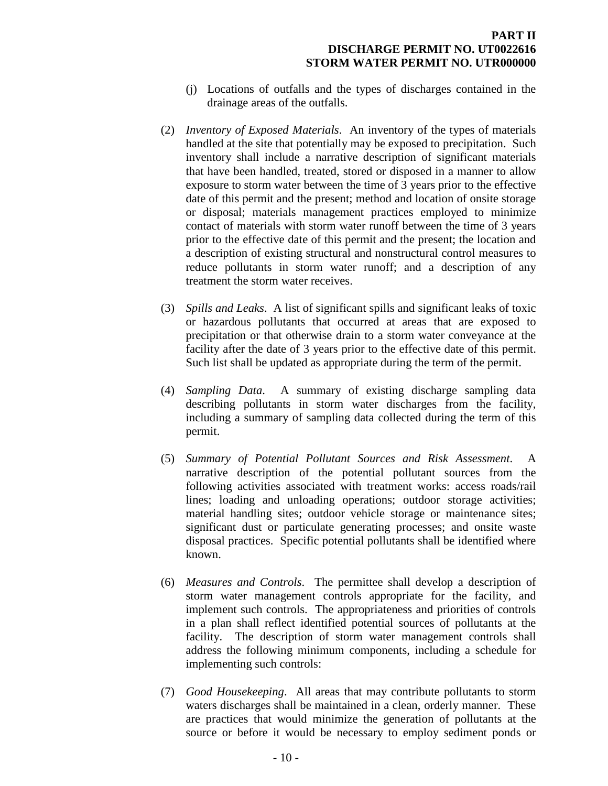- (j) Locations of outfalls and the types of discharges contained in the drainage areas of the outfalls.
- (2) *Inventory of Exposed Materials*. An inventory of the types of materials handled at the site that potentially may be exposed to precipitation. Such inventory shall include a narrative description of significant materials that have been handled, treated, stored or disposed in a manner to allow exposure to storm water between the time of 3 years prior to the effective date of this permit and the present; method and location of onsite storage or disposal; materials management practices employed to minimize contact of materials with storm water runoff between the time of 3 years prior to the effective date of this permit and the present; the location and a description of existing structural and nonstructural control measures to reduce pollutants in storm water runoff; and a description of any treatment the storm water receives.
- (3) *Spills and Leaks*. A list of significant spills and significant leaks of toxic or hazardous pollutants that occurred at areas that are exposed to precipitation or that otherwise drain to a storm water conveyance at the facility after the date of 3 years prior to the effective date of this permit. Such list shall be updated as appropriate during the term of the permit.
- (4) *Sampling Data*. A summary of existing discharge sampling data describing pollutants in storm water discharges from the facility, including a summary of sampling data collected during the term of this permit.
- (5) *Summary of Potential Pollutant Sources and Risk Assessment*. A narrative description of the potential pollutant sources from the following activities associated with treatment works: access roads/rail lines; loading and unloading operations; outdoor storage activities; material handling sites; outdoor vehicle storage or maintenance sites; significant dust or particulate generating processes; and onsite waste disposal practices. Specific potential pollutants shall be identified where known.
- (6) *Measures and Controls*. The permittee shall develop a description of storm water management controls appropriate for the facility, and implement such controls. The appropriateness and priorities of controls in a plan shall reflect identified potential sources of pollutants at the facility. The description of storm water management controls shall address the following minimum components, including a schedule for implementing such controls:
- (7) *Good Housekeeping*. All areas that may contribute pollutants to storm waters discharges shall be maintained in a clean, orderly manner. These are practices that would minimize the generation of pollutants at the source or before it would be necessary to employ sediment ponds or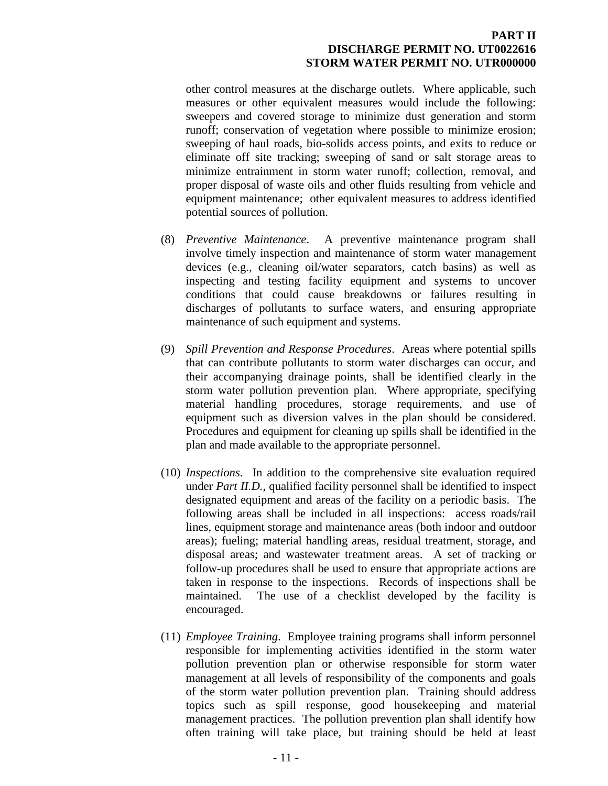other control measures at the discharge outlets. Where applicable, such measures or other equivalent measures would include the following: sweepers and covered storage to minimize dust generation and storm runoff; conservation of vegetation where possible to minimize erosion; sweeping of haul roads, bio-solids access points, and exits to reduce or eliminate off site tracking; sweeping of sand or salt storage areas to minimize entrainment in storm water runoff; collection, removal, and proper disposal of waste oils and other fluids resulting from vehicle and equipment maintenance; other equivalent measures to address identified potential sources of pollution.

- (8) *Preventive Maintenance*. A preventive maintenance program shall involve timely inspection and maintenance of storm water management devices (e.g., cleaning oil/water separators, catch basins) as well as inspecting and testing facility equipment and systems to uncover conditions that could cause breakdowns or failures resulting in discharges of pollutants to surface waters, and ensuring appropriate maintenance of such equipment and systems.
- (9) *Spill Prevention and Response Procedures*. Areas where potential spills that can contribute pollutants to storm water discharges can occur, and their accompanying drainage points, shall be identified clearly in the storm water pollution prevention plan. Where appropriate, specifying material handling procedures, storage requirements, and use of equipment such as diversion valves in the plan should be considered. Procedures and equipment for cleaning up spills shall be identified in the plan and made available to the appropriate personnel.
- (10) *Inspections*. In addition to the comprehensive site evaluation required under *Part II.D.*, qualified facility personnel shall be identified to inspect designated equipment and areas of the facility on a periodic basis. The following areas shall be included in all inspections: access roads/rail lines, equipment storage and maintenance areas (both indoor and outdoor areas); fueling; material handling areas, residual treatment, storage, and disposal areas; and wastewater treatment areas. A set of tracking or follow-up procedures shall be used to ensure that appropriate actions are taken in response to the inspections. Records of inspections shall be maintained. The use of a checklist developed by the facility is encouraged.
- (11) *Employee Training*. Employee training programs shall inform personnel responsible for implementing activities identified in the storm water pollution prevention plan or otherwise responsible for storm water management at all levels of responsibility of the components and goals of the storm water pollution prevention plan. Training should address topics such as spill response, good housekeeping and material management practices. The pollution prevention plan shall identify how often training will take place, but training should be held at least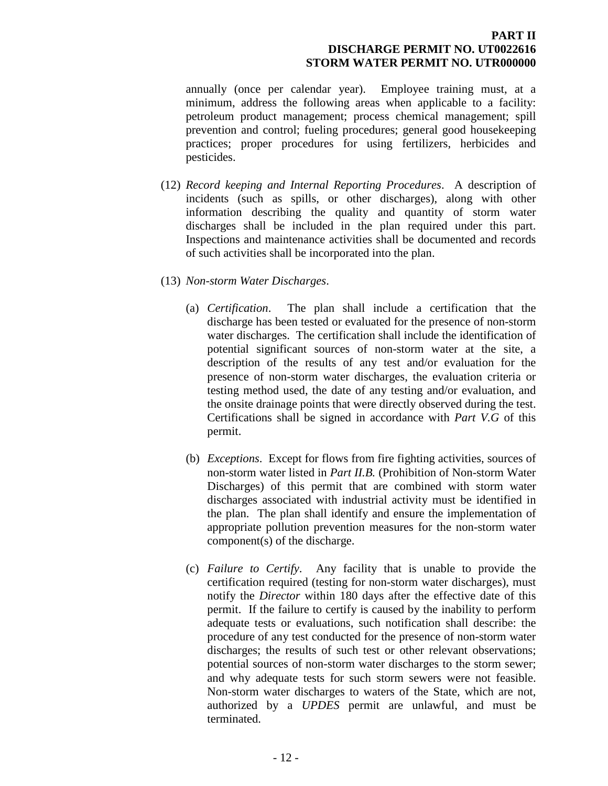annually (once per calendar year). Employee training must, at a minimum, address the following areas when applicable to a facility: petroleum product management; process chemical management; spill prevention and control; fueling procedures; general good housekeeping practices; proper procedures for using fertilizers, herbicides and pesticides.

- (12) *Record keeping and Internal Reporting Procedures*. A description of incidents (such as spills, or other discharges), along with other information describing the quality and quantity of storm water discharges shall be included in the plan required under this part. Inspections and maintenance activities shall be documented and records of such activities shall be incorporated into the plan.
- (13) *Non-storm Water Discharges*.
	- (a) *Certification*. The plan shall include a certification that the discharge has been tested or evaluated for the presence of non-storm water discharges. The certification shall include the identification of potential significant sources of non-storm water at the site, a description of the results of any test and/or evaluation for the presence of non-storm water discharges, the evaluation criteria or testing method used, the date of any testing and/or evaluation, and the onsite drainage points that were directly observed during the test. Certifications shall be signed in accordance with *Part V.G* of this permit.
	- (b) *Exceptions*. Except for flows from fire fighting activities, sources of non-storm water listed in *Part II.B.* (Prohibition of Non-storm Water Discharges) of this permit that are combined with storm water discharges associated with industrial activity must be identified in the plan. The plan shall identify and ensure the implementation of appropriate pollution prevention measures for the non-storm water component(s) of the discharge.
	- (c) *Failure to Certify*. Any facility that is unable to provide the certification required (testing for non-storm water discharges), must notify the *Director* within 180 days after the effective date of this permit. If the failure to certify is caused by the inability to perform adequate tests or evaluations, such notification shall describe: the procedure of any test conducted for the presence of non-storm water discharges; the results of such test or other relevant observations; potential sources of non-storm water discharges to the storm sewer; and why adequate tests for such storm sewers were not feasible. Non-storm water discharges to waters of the State, which are not, authorized by a *UPDES* permit are unlawful, and must be terminated.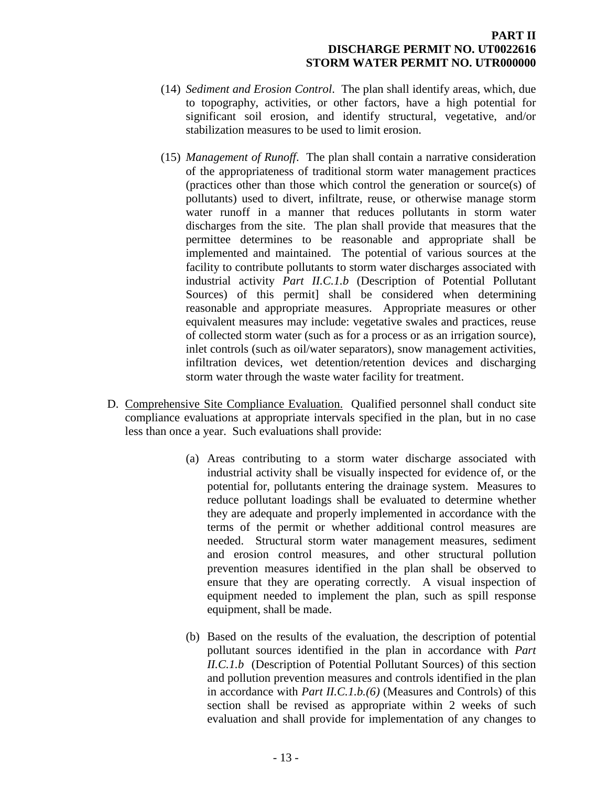- (14) *Sediment and Erosion Control*. The plan shall identify areas, which, due to topography, activities, or other factors, have a high potential for significant soil erosion, and identify structural, vegetative, and/or stabilization measures to be used to limit erosion.
- (15) *Management of Runoff*. The plan shall contain a narrative consideration of the appropriateness of traditional storm water management practices (practices other than those which control the generation or source(s) of pollutants) used to divert, infiltrate, reuse, or otherwise manage storm water runoff in a manner that reduces pollutants in storm water discharges from the site. The plan shall provide that measures that the permittee determines to be reasonable and appropriate shall be implemented and maintained. The potential of various sources at the facility to contribute pollutants to storm water discharges associated with industrial activity *Part II.C.1.b* (Description of Potential Pollutant Sources) of this permit] shall be considered when determining reasonable and appropriate measures. Appropriate measures or other equivalent measures may include: vegetative swales and practices, reuse of collected storm water (such as for a process or as an irrigation source), inlet controls (such as oil/water separators), snow management activities, infiltration devices, wet detention/retention devices and discharging storm water through the waste water facility for treatment.
- <span id="page-15-0"></span>D. Comprehensive Site Compliance Evaluation. Qualified personnel shall conduct site compliance evaluations at appropriate intervals specified in the plan, but in no case less than once a year. Such evaluations shall provide:
	- (a) Areas contributing to a storm water discharge associated with industrial activity shall be visually inspected for evidence of, or the potential for, pollutants entering the drainage system. Measures to reduce pollutant loadings shall be evaluated to determine whether they are adequate and properly implemented in accordance with the terms of the permit or whether additional control measures are needed. Structural storm water management measures, sediment and erosion control measures, and other structural pollution prevention measures identified in the plan shall be observed to ensure that they are operating correctly. A visual inspection of equipment needed to implement the plan, such as spill response equipment, shall be made.
	- (b) Based on the results of the evaluation, the description of potential pollutant sources identified in the plan in accordance with *Part II.C.1.b* (Description of Potential Pollutant Sources) of this section and pollution prevention measures and controls identified in the plan in accordance with *Part II.C.1.b.(6)* (Measures and Controls) of this section shall be revised as appropriate within 2 weeks of such evaluation and shall provide for implementation of any changes to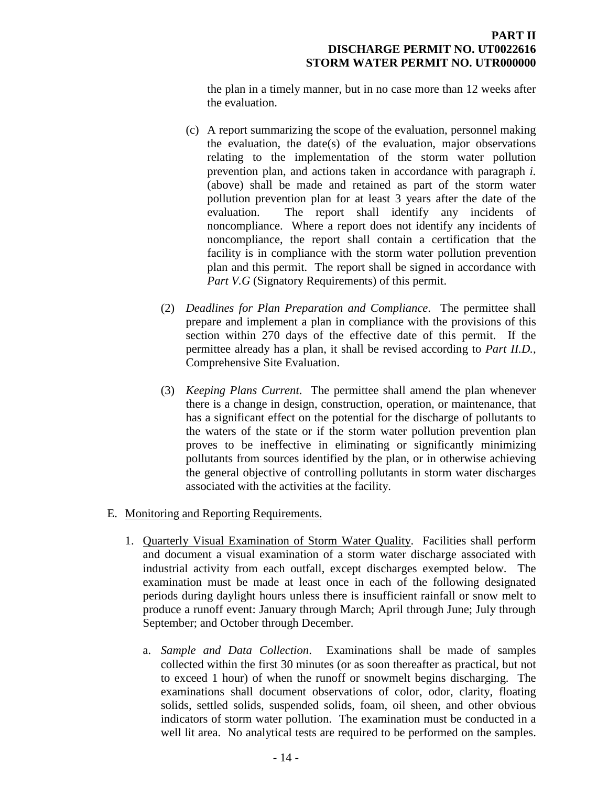the plan in a timely manner, but in no case more than 12 weeks after the evaluation.

- (c) A report summarizing the scope of the evaluation, personnel making the evaluation, the date(s) of the evaluation, major observations relating to the implementation of the storm water pollution prevention plan, and actions taken in accordance with paragraph *i.*  (above) shall be made and retained as part of the storm water pollution prevention plan for at least 3 years after the date of the evaluation. The report shall identify any incidents of noncompliance. Where a report does not identify any incidents of noncompliance, the report shall contain a certification that the facility is in compliance with the storm water pollution prevention plan and this permit. The report shall be signed in accordance with *Part V.G* (Signatory Requirements) of this permit.
- (2) *Deadlines for Plan Preparation and Compliance*. The permittee shall prepare and implement a plan in compliance with the provisions of this section within 270 days of the effective date of this permit. If the permittee already has a plan, it shall be revised according to *Part II.D.*, Comprehensive Site Evaluation.
- (3) *Keeping Plans Current*. The permittee shall amend the plan whenever there is a change in design, construction, operation, or maintenance, that has a significant effect on the potential for the discharge of pollutants to the waters of the state or if the storm water pollution prevention plan proves to be ineffective in eliminating or significantly minimizing pollutants from sources identified by the plan, or in otherwise achieving the general objective of controlling pollutants in storm water discharges associated with the activities at the facility.

## E. Monitoring and Reporting Requirements.

- <span id="page-16-0"></span>1. Quarterly Visual Examination of Storm Water Quality. Facilities shall perform and document a visual examination of a storm water discharge associated with industrial activity from each outfall, except discharges exempted below. The examination must be made at least once in each of the following designated periods during daylight hours unless there is insufficient rainfall or snow melt to produce a runoff event: January through March; April through June; July through September; and October through December.
	- a. *Sample and Data Collection*. Examinations shall be made of samples collected within the first 30 minutes (or as soon thereafter as practical, but not to exceed 1 hour) of when the runoff or snowmelt begins discharging. The examinations shall document observations of color, odor, clarity, floating solids, settled solids, suspended solids, foam, oil sheen, and other obvious indicators of storm water pollution. The examination must be conducted in a well lit area. No analytical tests are required to be performed on the samples.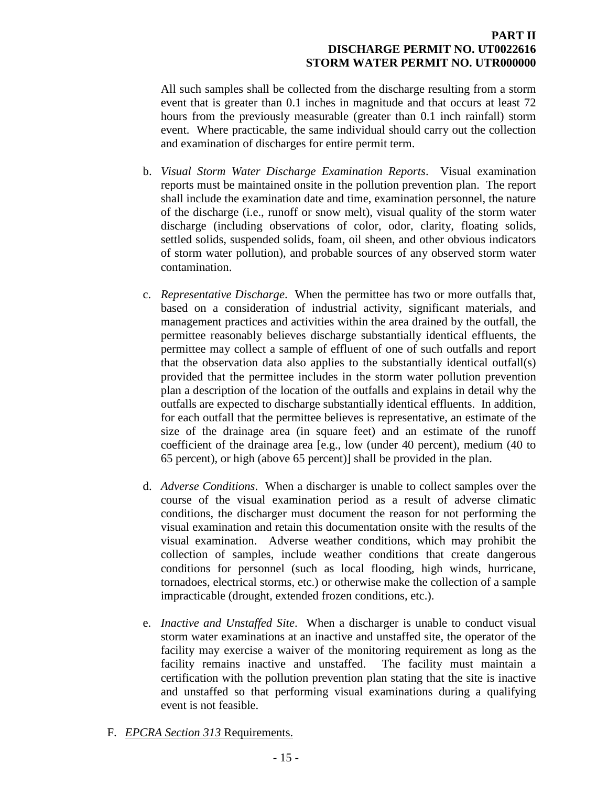All such samples shall be collected from the discharge resulting from a storm event that is greater than 0.1 inches in magnitude and that occurs at least 72 hours from the previously measurable (greater than 0.1 inch rainfall) storm event. Where practicable, the same individual should carry out the collection and examination of discharges for entire permit term.

- b. *Visual Storm Water Discharge Examination Reports*. Visual examination reports must be maintained onsite in the pollution prevention plan. The report shall include the examination date and time, examination personnel, the nature of the discharge (i.e., runoff or snow melt), visual quality of the storm water discharge (including observations of color, odor, clarity, floating solids, settled solids, suspended solids, foam, oil sheen, and other obvious indicators of storm water pollution), and probable sources of any observed storm water contamination.
- c. *Representative Discharge*. When the permittee has two or more outfalls that, based on a consideration of industrial activity, significant materials, and management practices and activities within the area drained by the outfall, the permittee reasonably believes discharge substantially identical effluents, the permittee may collect a sample of effluent of one of such outfalls and report that the observation data also applies to the substantially identical outfall(s) provided that the permittee includes in the storm water pollution prevention plan a description of the location of the outfalls and explains in detail why the outfalls are expected to discharge substantially identical effluents. In addition, for each outfall that the permittee believes is representative, an estimate of the size of the drainage area (in square feet) and an estimate of the runoff coefficient of the drainage area [e.g., low (under 40 percent), medium (40 to 65 percent), or high (above 65 percent)] shall be provided in the plan.
- d. *Adverse Conditions*. When a discharger is unable to collect samples over the course of the visual examination period as a result of adverse climatic conditions, the discharger must document the reason for not performing the visual examination and retain this documentation onsite with the results of the visual examination. Adverse weather conditions, which may prohibit the collection of samples, include weather conditions that create dangerous conditions for personnel (such as local flooding, high winds, hurricane, tornadoes, electrical storms, etc.) or otherwise make the collection of a sample impracticable (drought, extended frozen conditions, etc.).
- e. *Inactive and Unstaffed Site*. When a discharger is unable to conduct visual storm water examinations at an inactive and unstaffed site, the operator of the facility may exercise a waiver of the monitoring requirement as long as the facility remains inactive and unstaffed. The facility must maintain a certification with the pollution prevention plan stating that the site is inactive and unstaffed so that performing visual examinations during a qualifying event is not feasible.
- <span id="page-17-0"></span>F. *EPCRA Section 313* Requirements.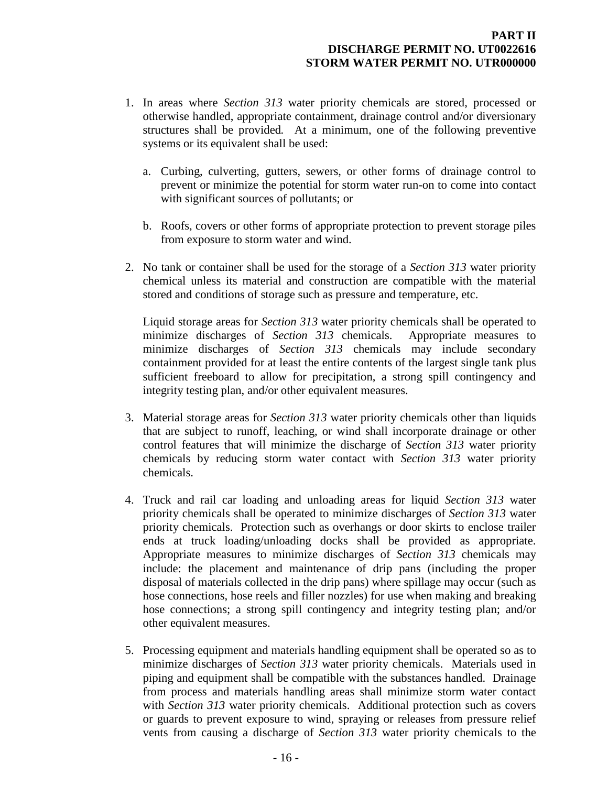- 1. In areas where *Section 313* water priority chemicals are stored, processed or otherwise handled, appropriate containment, drainage control and/or diversionary structures shall be provided*.* At a minimum, one of the following preventive systems or its equivalent shall be used:
	- a. Curbing, culverting, gutters, sewers, or other forms of drainage control to prevent or minimize the potential for storm water run-on to come into contact with significant sources of pollutants; or
	- b. Roofs, covers or other forms of appropriate protection to prevent storage piles from exposure to storm water and wind.
- 2. No tank or container shall be used for the storage of a *Section 313* water priority chemical unless its material and construction are compatible with the material stored and conditions of storage such as pressure and temperature, etc.

Liquid storage areas for *Section 313* water priority chemicals shall be operated to minimize discharges of *Section 313* chemicals. Appropriate measures to minimize discharges of *Section 313* chemicals may include secondary containment provided for at least the entire contents of the largest single tank plus sufficient freeboard to allow for precipitation, a strong spill contingency and integrity testing plan, and/or other equivalent measures.

- 3. Material storage areas for *Section 313* water priority chemicals other than liquids that are subject to runoff, leaching, or wind shall incorporate drainage or other control features that will minimize the discharge of *Section 313* water priority chemicals by reducing storm water contact with *Section 313* water priority chemicals.
- 4. Truck and rail car loading and unloading areas for liquid *Section 313* water priority chemicals shall be operated to minimize discharges of *Section 313* water priority chemicals. Protection such as overhangs or door skirts to enclose trailer ends at truck loading/unloading docks shall be provided as appropriate. Appropriate measures to minimize discharges of *Section 313* chemicals may include: the placement and maintenance of drip pans (including the proper disposal of materials collected in the drip pans) where spillage may occur (such as hose connections, hose reels and filler nozzles) for use when making and breaking hose connections; a strong spill contingency and integrity testing plan; and/or other equivalent measures.
- 5. Processing equipment and materials handling equipment shall be operated so as to minimize discharges of *Section 313* water priority chemicals. Materials used in piping and equipment shall be compatible with the substances handled. Drainage from process and materials handling areas shall minimize storm water contact with *Section 313* water priority chemicals. Additional protection such as covers or guards to prevent exposure to wind, spraying or releases from pressure relief vents from causing a discharge of *Section 313* water priority chemicals to the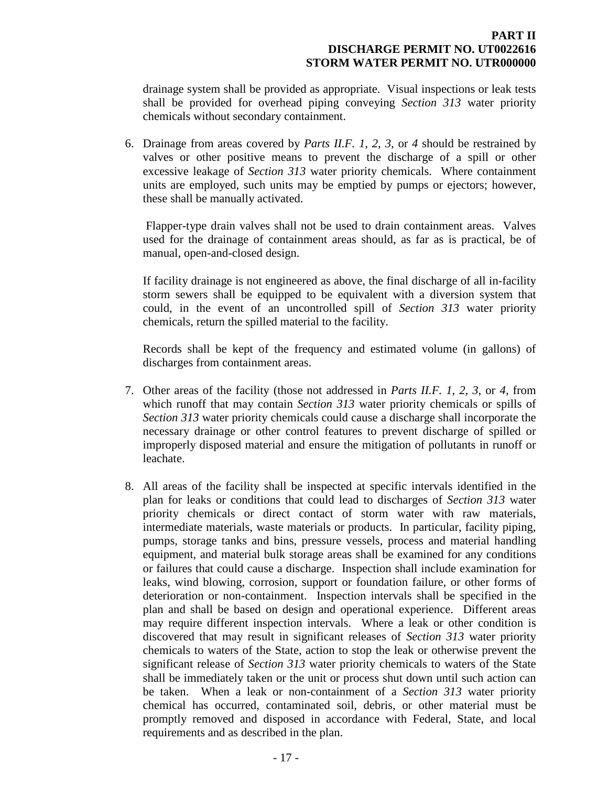drainage system shall be provided as appropriate. Visual inspections or leak tests shall be provided for overhead piping conveying *Section 313* water priority chemicals without secondary containment.

6. Drainage from areas covered by *Parts II.F. 1*, *2*, *3*, or *4* should be restrained by valves or other positive means to prevent the discharge of a spill or other excessive leakage of *Section 313* water priority chemicals. Where containment units are employed, such units may be emptied by pumps or ejectors; however, these shall be manually activated.

Flapper-type drain valves shall not be used to drain containment areas. Valves used for the drainage of containment areas should, as far as is practical, be of manual, open-and-closed design.

If facility drainage is not engineered as above, the final discharge of all in-facility storm sewers shall be equipped to be equivalent with a diversion system that could, in the event of an uncontrolled spill of *Section 313* water priority chemicals, return the spilled material to the facility.

Records shall be kept of the frequency and estimated volume (in gallons) of discharges from containment areas.

- 7. Other areas of the facility (those not addressed in *Parts II.F. 1*, *2*, *3*, or *4*, from which runoff that may contain *Section 313* water priority chemicals or spills of *Section 313* water priority chemicals could cause a discharge shall incorporate the necessary drainage or other control features to prevent discharge of spilled or improperly disposed material and ensure the mitigation of pollutants in runoff or leachate.
- 8. All areas of the facility shall be inspected at specific intervals identified in the plan for leaks or conditions that could lead to discharges of *Section 313* water priority chemicals or direct contact of storm water with raw materials, intermediate materials, waste materials or products. In particular, facility piping, pumps, storage tanks and bins, pressure vessels, process and material handling equipment, and material bulk storage areas shall be examined for any conditions or failures that could cause a discharge. Inspection shall include examination for leaks, wind blowing, corrosion, support or foundation failure, or other forms of deterioration or non-containment. Inspection intervals shall be specified in the plan and shall be based on design and operational experience. Different areas may require different inspection intervals. Where a leak or other condition is discovered that may result in significant releases of *Section 313* water priority chemicals to waters of the State, action to stop the leak or otherwise prevent the significant release of *Section 313* water priority chemicals to waters of the State shall be immediately taken or the unit or process shut down until such action can be taken. When a leak or non-containment of a *Section 313* water priority chemical has occurred, contaminated soil, debris, or other material must be promptly removed and disposed in accordance with Federal, State, and local requirements and as described in the plan.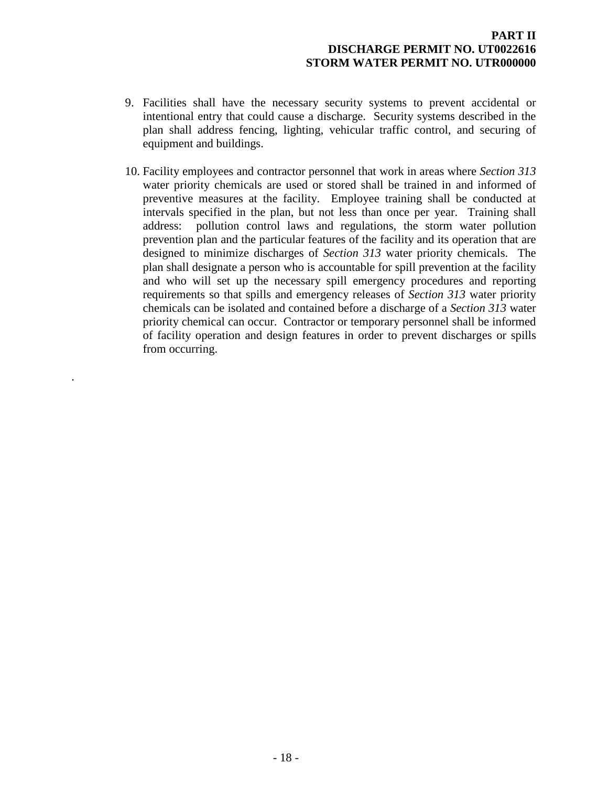- 9. Facilities shall have the necessary security systems to prevent accidental or intentional entry that could cause a discharge. Security systems described in the plan shall address fencing, lighting, vehicular traffic control, and securing of equipment and buildings.
- 10. Facility employees and contractor personnel that work in areas where *Section 313* water priority chemicals are used or stored shall be trained in and informed of preventive measures at the facility. Employee training shall be conducted at intervals specified in the plan, but not less than once per year. Training shall address: pollution control laws and regulations, the storm water pollution prevention plan and the particular features of the facility and its operation that are designed to minimize discharges of *Section 313* water priority chemicals. The plan shall designate a person who is accountable for spill prevention at the facility and who will set up the necessary spill emergency procedures and reporting requirements so that spills and emergency releases of *Section 313* water priority chemicals can be isolated and contained before a discharge of a *Section 313* water priority chemical can occur. Contractor or temporary personnel shall be informed of facility operation and design features in order to prevent discharges or spills from occurring.

.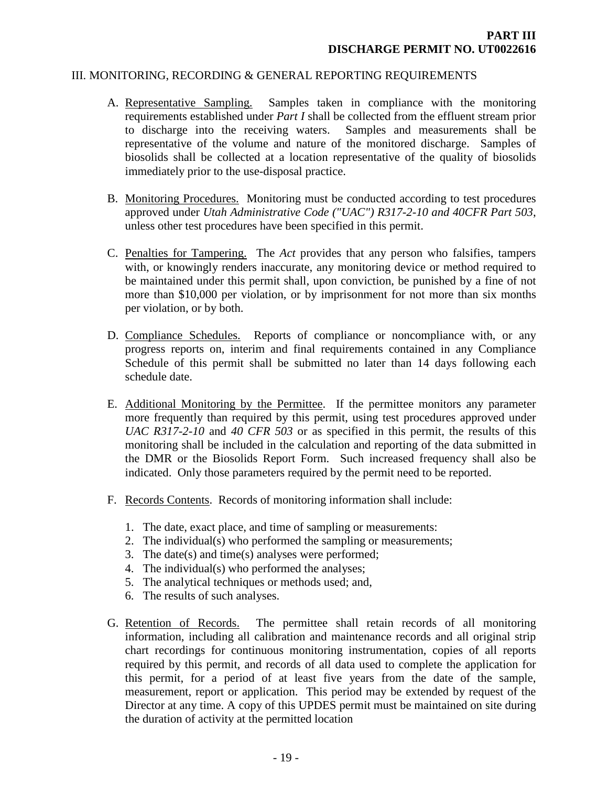#### III. MONITORING, RECORDING & GENERAL REPORTING REQUIREMENTS

- <span id="page-21-1"></span><span id="page-21-0"></span>A. Representative Sampling. Samples taken in compliance with the monitoring requirements established under *Part I* shall be collected from the effluent stream prior to discharge into the receiving waters. Samples and measurements shall be representative of the volume and nature of the monitored discharge. Samples of biosolids shall be collected at a location representative of the quality of biosolids immediately prior to the use-disposal practice.
- <span id="page-21-2"></span>B. Monitoring Procedures. Monitoring must be conducted according to test procedures approved under *Utah Administrative Code ("UAC") R317-2-10 and 40CFR Part 503*, unless other test procedures have been specified in this permit.
- <span id="page-21-3"></span>C. Penalties for Tampering. The *Act* provides that any person who falsifies, tampers with, or knowingly renders inaccurate, any monitoring device or method required to be maintained under this permit shall, upon conviction, be punished by a fine of not more than \$10,000 per violation, or by imprisonment for not more than six months per violation, or by both.
- <span id="page-21-4"></span>D. Compliance Schedules. Reports of compliance or noncompliance with, or any progress reports on, interim and final requirements contained in any Compliance Schedule of this permit shall be submitted no later than 14 days following each schedule date.
- <span id="page-21-5"></span>E. Additional Monitoring by the Permittee. If the permittee monitors any parameter more frequently than required by this permit, using test procedures approved under *UAC R317-2-10* and *40 CFR 503* or as specified in this permit, the results of this monitoring shall be included in the calculation and reporting of the data submitted in the DMR or the Biosolids Report Form. Such increased frequency shall also be indicated. Only those parameters required by the permit need to be reported.
- <span id="page-21-6"></span>F. Records Contents. Records of monitoring information shall include:
	- 1. The date, exact place, and time of sampling or measurements:
	- 2. The individual(s) who performed the sampling or measurements;
	- 3. The date(s) and time(s) analyses were performed;
	- 4. The individual(s) who performed the analyses;
	- 5. The analytical techniques or methods used; and,
	- 6. The results of such analyses.
- <span id="page-21-7"></span>G. Retention of Records. The permittee shall retain records of all monitoring information, including all calibration and maintenance records and all original strip chart recordings for continuous monitoring instrumentation, copies of all reports required by this permit, and records of all data used to complete the application for this permit, for a period of at least five years from the date of the sample, measurement, report or application. This period may be extended by request of the Director at any time. A copy of this UPDES permit must be maintained on site during the duration of activity at the permitted location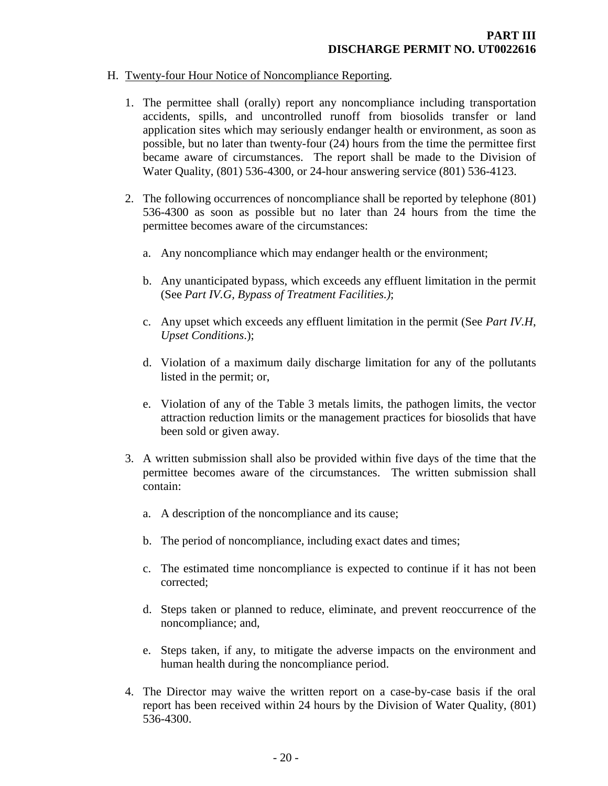## H. Twenty-four Hour Notice of Noncompliance Reporting.

- <span id="page-22-0"></span>1. The permittee shall (orally) report any noncompliance including transportation accidents, spills, and uncontrolled runoff from biosolids transfer or land application sites which may seriously endanger health or environment, as soon as possible, but no later than twenty-four (24) hours from the time the permittee first became aware of circumstances. The report shall be made to the Division of Water Quality, (801) 536-4300, or 24-hour answering service (801) 536-4123.
- 2. The following occurrences of noncompliance shall be reported by telephone (801) 536-4300 as soon as possible but no later than 24 hours from the time the permittee becomes aware of the circumstances:
	- a. Any noncompliance which may endanger health or the environment;
	- b. Any unanticipated bypass, which exceeds any effluent limitation in the permit (See *Part IV.G, Bypass of Treatment Facilities.)*;
	- c. Any upset which exceeds any effluent limitation in the permit (See *Part IV.H*, *Upset Conditions*.);
	- d. Violation of a maximum daily discharge limitation for any of the pollutants listed in the permit; or,
	- e. Violation of any of the Table 3 metals limits, the pathogen limits, the vector attraction reduction limits or the management practices for biosolids that have been sold or given away.
- 3. A written submission shall also be provided within five days of the time that the permittee becomes aware of the circumstances. The written submission shall contain:
	- a. A description of the noncompliance and its cause;
	- b. The period of noncompliance, including exact dates and times;
	- c. The estimated time noncompliance is expected to continue if it has not been corrected;
	- d. Steps taken or planned to reduce, eliminate, and prevent reoccurrence of the noncompliance; and,
	- e. Steps taken, if any, to mitigate the adverse impacts on the environment and human health during the noncompliance period.
- 4. The Director may waive the written report on a case-by-case basis if the oral report has been received within 24 hours by the Division of Water Quality, (801) 536-4300.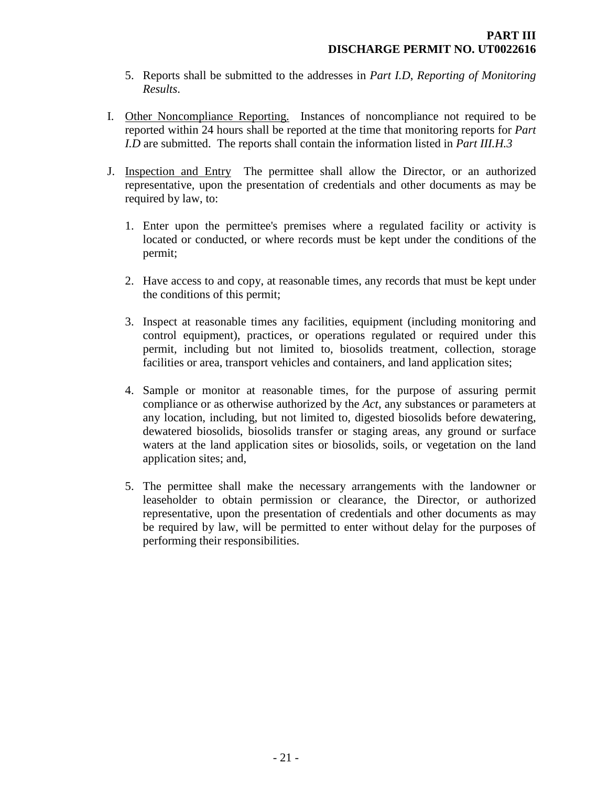- <span id="page-23-0"></span>5. Reports shall be submitted to the addresses in *Part I.D*, *Reporting of Monitoring Results*.
- I. Other Noncompliance Reporting. Instances of noncompliance not required to be reported within 24 hours shall be reported at the time that monitoring reports for *Part I.D* are submitted. The reports shall contain the information listed in *Part III.H.3*
- <span id="page-23-1"></span>J. Inspection and Entry The permittee shall allow the Director, or an authorized representative, upon the presentation of credentials and other documents as may be required by law, to:
	- 1. Enter upon the permittee's premises where a regulated facility or activity is located or conducted, or where records must be kept under the conditions of the permit;
	- 2. Have access to and copy, at reasonable times, any records that must be kept under the conditions of this permit;
	- 3. Inspect at reasonable times any facilities, equipment (including monitoring and control equipment), practices, or operations regulated or required under this permit, including but not limited to, biosolids treatment, collection, storage facilities or area, transport vehicles and containers, and land application sites;
	- 4. Sample or monitor at reasonable times, for the purpose of assuring permit compliance or as otherwise authorized by the *Act*, any substances or parameters at any location, including, but not limited to, digested biosolids before dewatering, dewatered biosolids, biosolids transfer or staging areas, any ground or surface waters at the land application sites or biosolids, soils, or vegetation on the land application sites; and,
	- 5. The permittee shall make the necessary arrangements with the landowner or leaseholder to obtain permission or clearance, the Director, or authorized representative, upon the presentation of credentials and other documents as may be required by law, will be permitted to enter without delay for the purposes of performing their responsibilities.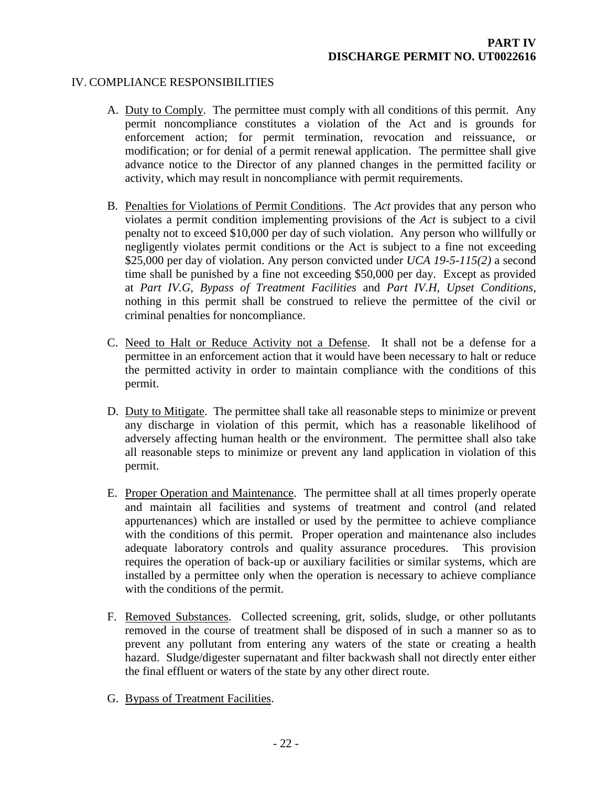## IV. COMPLIANCE RESPONSIBILITIES

- <span id="page-24-1"></span><span id="page-24-0"></span>A. Duty to Comply. The permittee must comply with all conditions of this permit. Any permit noncompliance constitutes a violation of the Act and is grounds for enforcement action; for permit termination, revocation and reissuance, or modification; or for denial of a permit renewal application. The permittee shall give advance notice to the Director of any planned changes in the permitted facility or activity, which may result in noncompliance with permit requirements.
- <span id="page-24-2"></span>B. Penalties for Violations of Permit Conditions. The *Act* provides that any person who violates a permit condition implementing provisions of the *Act* is subject to a civil penalty not to exceed \$10,000 per day of such violation. Any person who willfully or negligently violates permit conditions or the Act is subject to a fine not exceeding \$25,000 per day of violation. Any person convicted under *UCA 19-5-115(2)* a second time shall be punished by a fine not exceeding \$50,000 per day. Except as provided at *Part IV.G*, *Bypass of Treatment Facilities* and *Part IV.H*, *Upset Conditions*, nothing in this permit shall be construed to relieve the permittee of the civil or criminal penalties for noncompliance.
- <span id="page-24-3"></span>C. Need to Halt or Reduce Activity not a Defense. It shall not be a defense for a permittee in an enforcement action that it would have been necessary to halt or reduce the permitted activity in order to maintain compliance with the conditions of this permit.
- <span id="page-24-4"></span>D. Duty to Mitigate. The permittee shall take all reasonable steps to minimize or prevent any discharge in violation of this permit, which has a reasonable likelihood of adversely affecting human health or the environment. The permittee shall also take all reasonable steps to minimize or prevent any land application in violation of this permit.
- <span id="page-24-5"></span>E. Proper Operation and Maintenance. The permittee shall at all times properly operate and maintain all facilities and systems of treatment and control (and related appurtenances) which are installed or used by the permittee to achieve compliance with the conditions of this permit. Proper operation and maintenance also includes adequate laboratory controls and quality assurance procedures. This provision requires the operation of back-up or auxiliary facilities or similar systems, which are installed by a permittee only when the operation is necessary to achieve compliance with the conditions of the permit.
- <span id="page-24-6"></span>F. Removed Substances. Collected screening, grit, solids, sludge, or other pollutants removed in the course of treatment shall be disposed of in such a manner so as to prevent any pollutant from entering any waters of the state or creating a health hazard. Sludge/digester supernatant and filter backwash shall not directly enter either the final effluent or waters of the state by any other direct route.
- <span id="page-24-7"></span>G. Bypass of Treatment Facilities.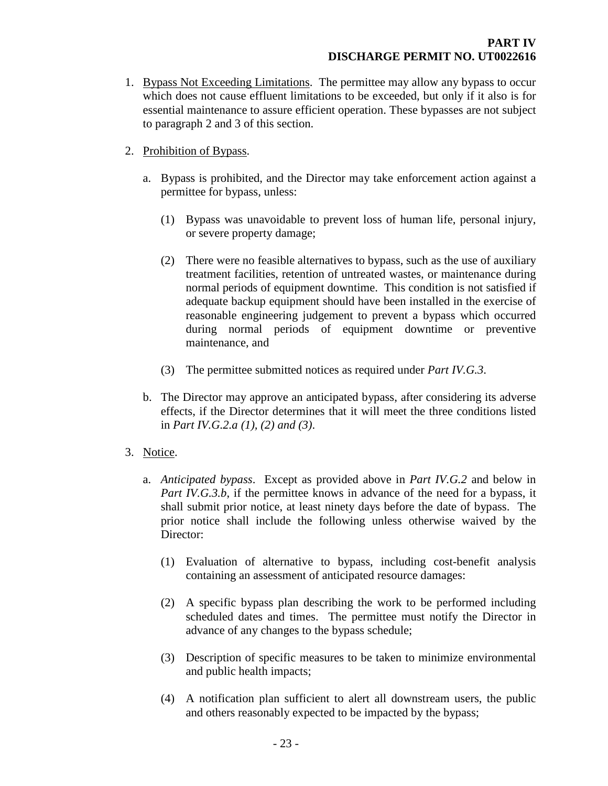- 1. Bypass Not Exceeding Limitations. The permittee may allow any bypass to occur which does not cause effluent limitations to be exceeded, but only if it also is for essential maintenance to assure efficient operation. These bypasses are not subject to paragraph 2 and 3 of this section.
- 2. Prohibition of Bypass.
	- a. Bypass is prohibited, and the Director may take enforcement action against a permittee for bypass, unless:
		- (1) Bypass was unavoidable to prevent loss of human life, personal injury, or severe property damage;
		- (2) There were no feasible alternatives to bypass, such as the use of auxiliary treatment facilities, retention of untreated wastes, or maintenance during normal periods of equipment downtime. This condition is not satisfied if adequate backup equipment should have been installed in the exercise of reasonable engineering judgement to prevent a bypass which occurred during normal periods of equipment downtime or preventive maintenance, and
		- (3) The permittee submitted notices as required under *Part IV.G.3*.
	- b. The Director may approve an anticipated bypass, after considering its adverse effects, if the Director determines that it will meet the three conditions listed in *Part IV.G.2.a (1), (2) and (3)*.
- 3. Notice.
	- a. *Anticipated bypass*. Except as provided above in *Part IV.G.2* and below in *Part IV.G.3.b*, if the permittee knows in advance of the need for a bypass, it shall submit prior notice, at least ninety days before the date of bypass. The prior notice shall include the following unless otherwise waived by the Director:
		- (1) Evaluation of alternative to bypass, including cost-benefit analysis containing an assessment of anticipated resource damages:
		- (2) A specific bypass plan describing the work to be performed including scheduled dates and times. The permittee must notify the Director in advance of any changes to the bypass schedule;
		- (3) Description of specific measures to be taken to minimize environmental and public health impacts;
		- (4) A notification plan sufficient to alert all downstream users, the public and others reasonably expected to be impacted by the bypass;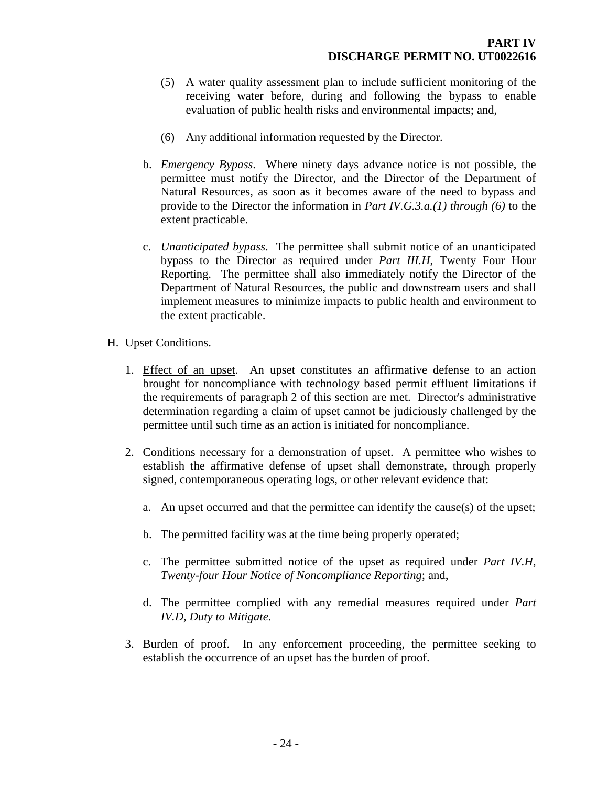- (5) A water quality assessment plan to include sufficient monitoring of the receiving water before, during and following the bypass to enable evaluation of public health risks and environmental impacts; and,
- (6) Any additional information requested by the Director.
- b. *Emergency Bypass*. Where ninety days advance notice is not possible, the permittee must notify the Director, and the Director of the Department of Natural Resources, as soon as it becomes aware of the need to bypass and provide to the Director the information in *Part IV.G.3.a.(1) through (6)* to the extent practicable.
- c. *Unanticipated bypass*. The permittee shall submit notice of an unanticipated bypass to the Director as required under *Part III.H*, Twenty Four Hour Reporting. The permittee shall also immediately notify the Director of the Department of Natural Resources, the public and downstream users and shall implement measures to minimize impacts to public health and environment to the extent practicable.
- <span id="page-26-0"></span>H. Upset Conditions.
	- 1. Effect of an upset. An upset constitutes an affirmative defense to an action brought for noncompliance with technology based permit effluent limitations if the requirements of paragraph 2 of this section are met. Director's administrative determination regarding a claim of upset cannot be judiciously challenged by the permittee until such time as an action is initiated for noncompliance.
	- 2. Conditions necessary for a demonstration of upset. A permittee who wishes to establish the affirmative defense of upset shall demonstrate, through properly signed, contemporaneous operating logs, or other relevant evidence that:
		- a. An upset occurred and that the permittee can identify the cause(s) of the upset;
		- b. The permitted facility was at the time being properly operated;
		- c. The permittee submitted notice of the upset as required under *Part IV.H*, *Twenty-four Hour Notice of Noncompliance Reporting*; and,
		- d. The permittee complied with any remedial measures required under *Part IV.D*, *Duty to Mitigate*.
	- 3. Burden of proof. In any enforcement proceeding, the permittee seeking to establish the occurrence of an upset has the burden of proof.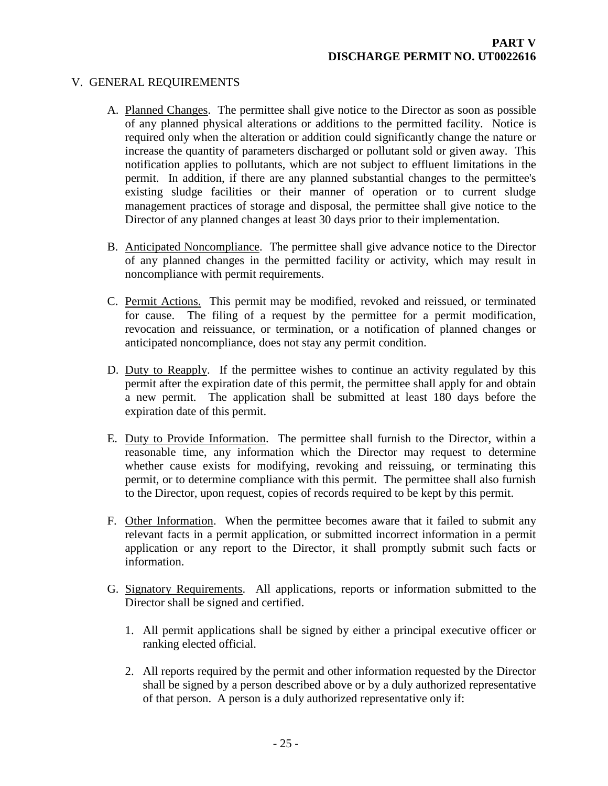## V. GENERAL REQUIREMENTS

- <span id="page-27-1"></span><span id="page-27-0"></span>A. Planned Changes. The permittee shall give notice to the Director as soon as possible of any planned physical alterations or additions to the permitted facility. Notice is required only when the alteration or addition could significantly change the nature or increase the quantity of parameters discharged or pollutant sold or given away. This notification applies to pollutants, which are not subject to effluent limitations in the permit. In addition, if there are any planned substantial changes to the permittee's existing sludge facilities or their manner of operation or to current sludge management practices of storage and disposal, the permittee shall give notice to the Director of any planned changes at least 30 days prior to their implementation.
- <span id="page-27-2"></span>B. Anticipated Noncompliance. The permittee shall give advance notice to the Director of any planned changes in the permitted facility or activity, which may result in noncompliance with permit requirements.
- <span id="page-27-3"></span>C. Permit Actions. This permit may be modified, revoked and reissued, or terminated for cause. The filing of a request by the permittee for a permit modification, revocation and reissuance, or termination, or a notification of planned changes or anticipated noncompliance, does not stay any permit condition.
- <span id="page-27-4"></span>D. Duty to Reapply. If the permittee wishes to continue an activity regulated by this permit after the expiration date of this permit, the permittee shall apply for and obtain a new permit. The application shall be submitted at least 180 days before the expiration date of this permit.
- <span id="page-27-5"></span>E. Duty to Provide Information. The permittee shall furnish to the Director, within a reasonable time, any information which the Director may request to determine whether cause exists for modifying, revoking and reissuing, or terminating this permit, or to determine compliance with this permit. The permittee shall also furnish to the Director, upon request, copies of records required to be kept by this permit.
- <span id="page-27-6"></span>F. Other Information. When the permittee becomes aware that it failed to submit any relevant facts in a permit application, or submitted incorrect information in a permit application or any report to the Director, it shall promptly submit such facts or information.
- <span id="page-27-7"></span>G. Signatory Requirements. All applications, reports or information submitted to the Director shall be signed and certified.
	- 1. All permit applications shall be signed by either a principal executive officer or ranking elected official.
	- 2. All reports required by the permit and other information requested by the Director shall be signed by a person described above or by a duly authorized representative of that person. A person is a duly authorized representative only if: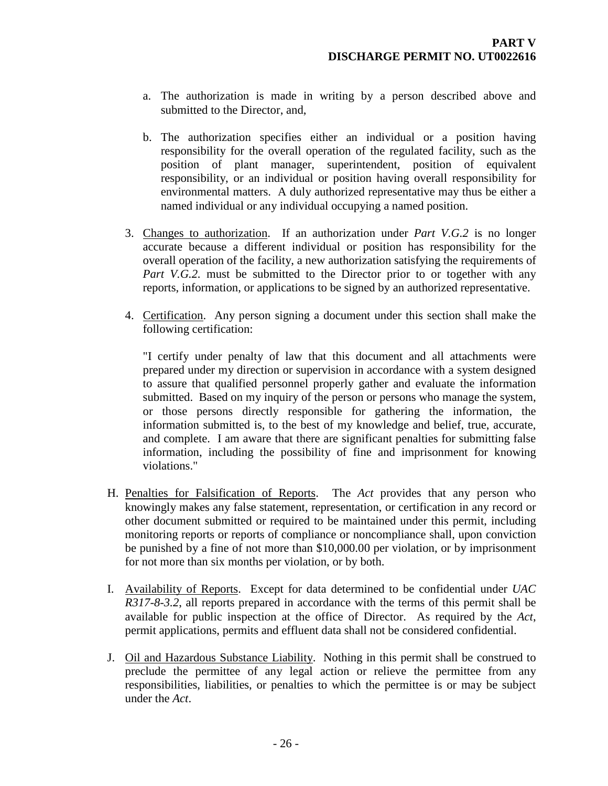- a. The authorization is made in writing by a person described above and submitted to the Director, and,
- b. The authorization specifies either an individual or a position having responsibility for the overall operation of the regulated facility, such as the position of plant manager, superintendent, position of equivalent responsibility, or an individual or position having overall responsibility for environmental matters. A duly authorized representative may thus be either a named individual or any individual occupying a named position.
- 3. Changes to authorization. If an authorization under *Part V.G.2* is no longer accurate because a different individual or position has responsibility for the overall operation of the facility, a new authorization satisfying the requirements of *Part V.G.2.* must be submitted to the Director prior to or together with any reports, information, or applications to be signed by an authorized representative.
- 4. Certification. Any person signing a document under this section shall make the following certification:

"I certify under penalty of law that this document and all attachments were prepared under my direction or supervision in accordance with a system designed to assure that qualified personnel properly gather and evaluate the information submitted. Based on my inquiry of the person or persons who manage the system, or those persons directly responsible for gathering the information, the information submitted is, to the best of my knowledge and belief, true, accurate, and complete. I am aware that there are significant penalties for submitting false information, including the possibility of fine and imprisonment for knowing violations."

- <span id="page-28-0"></span>H. Penalties for Falsification of Reports. The *Act* provides that any person who knowingly makes any false statement, representation, or certification in any record or other document submitted or required to be maintained under this permit, including monitoring reports or reports of compliance or noncompliance shall, upon conviction be punished by a fine of not more than \$10,000.00 per violation, or by imprisonment for not more than six months per violation, or by both.
- <span id="page-28-1"></span>I. Availability of Reports. Except for data determined to be confidential under *UAC R317-8-3.2*, all reports prepared in accordance with the terms of this permit shall be available for public inspection at the office of Director. As required by the *Act*, permit applications, permits and effluent data shall not be considered confidential.
- <span id="page-28-2"></span>J. Oil and Hazardous Substance Liability. Nothing in this permit shall be construed to preclude the permittee of any legal action or relieve the permittee from any responsibilities, liabilities, or penalties to which the permittee is or may be subject under the *Act*.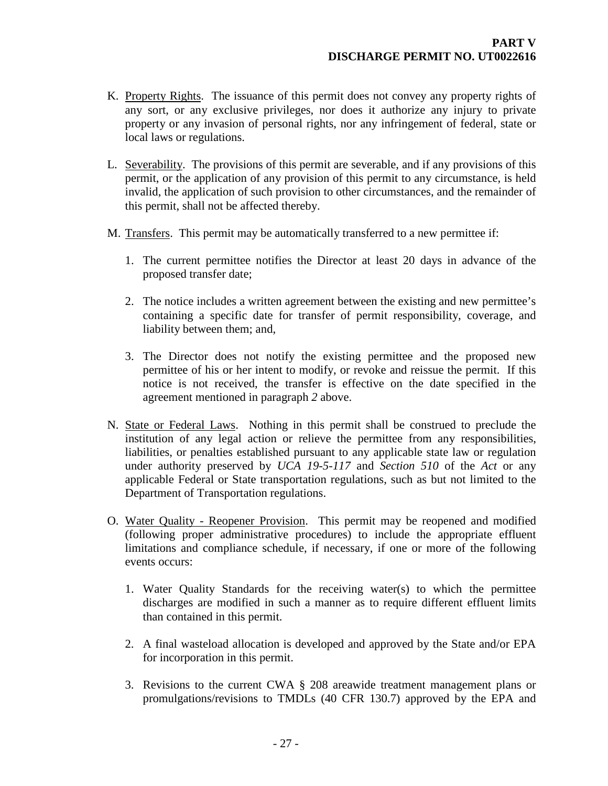- <span id="page-29-0"></span>K. Property Rights. The issuance of this permit does not convey any property rights of any sort, or any exclusive privileges, nor does it authorize any injury to private property or any invasion of personal rights, nor any infringement of federal, state or local laws or regulations.
- <span id="page-29-1"></span>L. Severability. The provisions of this permit are severable, and if any provisions of this permit, or the application of any provision of this permit to any circumstance, is held invalid, the application of such provision to other circumstances, and the remainder of this permit, shall not be affected thereby.
- <span id="page-29-2"></span>M. Transfers. This permit may be automatically transferred to a new permittee if:
	- 1. The current permittee notifies the Director at least 20 days in advance of the proposed transfer date;
	- 2. The notice includes a written agreement between the existing and new permittee's containing a specific date for transfer of permit responsibility, coverage, and liability between them; and,
	- 3. The Director does not notify the existing permittee and the proposed new permittee of his or her intent to modify, or revoke and reissue the permit. If this notice is not received, the transfer is effective on the date specified in the agreement mentioned in paragraph *2* above.
- <span id="page-29-3"></span>N. State or Federal Laws. Nothing in this permit shall be construed to preclude the institution of any legal action or relieve the permittee from any responsibilities, liabilities, or penalties established pursuant to any applicable state law or regulation under authority preserved by *UCA 19-5-117* and *Section 510* of the *Act* or any applicable Federal or State transportation regulations, such as but not limited to the Department of Transportation regulations.
- <span id="page-29-4"></span>O. Water Quality - Reopener Provision. This permit may be reopened and modified (following proper administrative procedures) to include the appropriate effluent limitations and compliance schedule, if necessary, if one or more of the following events occurs:
	- 1. Water Quality Standards for the receiving water(s) to which the permittee discharges are modified in such a manner as to require different effluent limits than contained in this permit.
	- 2. A final wasteload allocation is developed and approved by the State and/or EPA for incorporation in this permit.
	- 3. Revisions to the current CWA § 208 areawide treatment management plans or promulgations/revisions to TMDLs (40 CFR 130.7) approved by the EPA and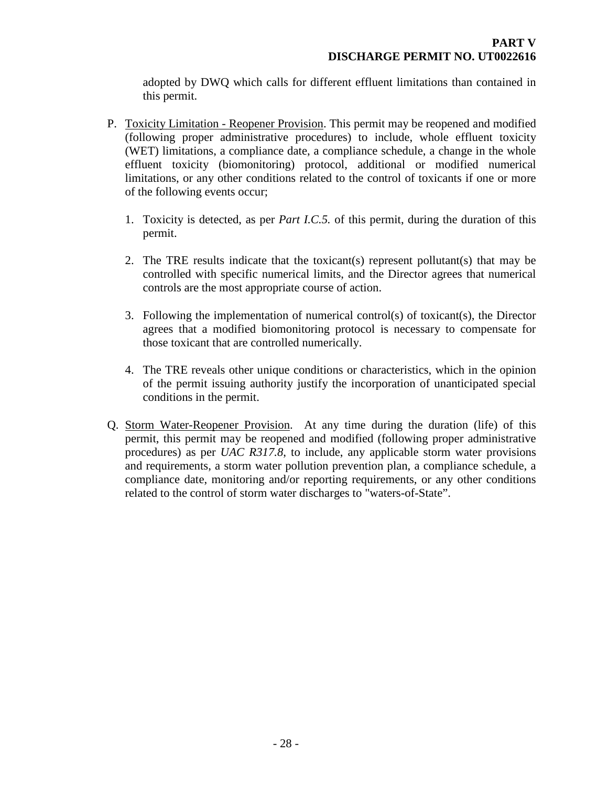<span id="page-30-0"></span>adopted by DWQ which calls for different effluent limitations than contained in this permit.

- P. Toxicity Limitation Reopener Provision. This permit may be reopened and modified (following proper administrative procedures) to include, whole effluent toxicity (WET) limitations, a compliance date, a compliance schedule, a change in the whole effluent toxicity (biomonitoring) protocol, additional or modified numerical limitations, or any other conditions related to the control of toxicants if one or more of the following events occur;
	- 1. Toxicity is detected, as per *Part I.C.5.* of this permit, during the duration of this permit.
	- 2. The TRE results indicate that the toxicant(s) represent pollutant(s) that may be controlled with specific numerical limits, and the Director agrees that numerical controls are the most appropriate course of action.
	- 3. Following the implementation of numerical control(s) of toxicant(s), the Director agrees that a modified biomonitoring protocol is necessary to compensate for those toxicant that are controlled numerically.
	- 4. The TRE reveals other unique conditions or characteristics, which in the opinion of the permit issuing authority justify the incorporation of unanticipated special conditions in the permit.
- <span id="page-30-1"></span>Q. Storm Water-Reopener Provision. At any time during the duration (life) of this permit, this permit may be reopened and modified (following proper administrative procedures) as per *UAC R317.8*, to include, any applicable storm water provisions and requirements, a storm water pollution prevention plan, a compliance schedule, a compliance date, monitoring and/or reporting requirements, or any other conditions related to the control of storm water discharges to "waters-of-State".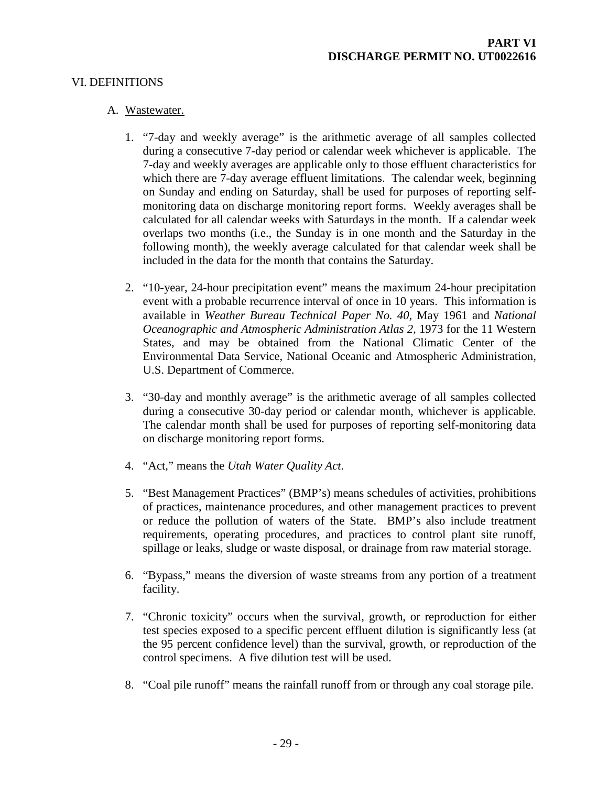## VI. DEFINITIONS

#### <span id="page-31-0"></span>A. Wastewater.

- <span id="page-31-1"></span>1. "7-day and weekly average" is the arithmetic average of all samples collected during a consecutive 7-day period or calendar week whichever is applicable. The 7-day and weekly averages are applicable only to those effluent characteristics for which there are 7-day average effluent limitations. The calendar week, beginning on Sunday and ending on Saturday, shall be used for purposes of reporting selfmonitoring data on discharge monitoring report forms. Weekly averages shall be calculated for all calendar weeks with Saturdays in the month. If a calendar week overlaps two months (i.e., the Sunday is in one month and the Saturday in the following month), the weekly average calculated for that calendar week shall be included in the data for the month that contains the Saturday.
- 2. "10-year, 24-hour precipitation event" means the maximum 24-hour precipitation event with a probable recurrence interval of once in 10 years. This information is available in *Weather Bureau Technical Paper No. 40*, May 1961 and *National Oceanographic and Atmospheric Administration Atlas 2,* 1973 for the 11 Western States, and may be obtained from the National Climatic Center of the Environmental Data Service, National Oceanic and Atmospheric Administration, U.S. Department of Commerce.
- 3. "30-day and monthly average" is the arithmetic average of all samples collected during a consecutive 30-day period or calendar month, whichever is applicable. The calendar month shall be used for purposes of reporting self-monitoring data on discharge monitoring report forms.
- 4. "Act," means the *Utah Water Quality Act*.
- 5. "Best Management Practices" (BMP's) means schedules of activities, prohibitions of practices, maintenance procedures, and other management practices to prevent or reduce the pollution of waters of the State. BMP's also include treatment requirements, operating procedures, and practices to control plant site runoff, spillage or leaks, sludge or waste disposal, or drainage from raw material storage.
- 6. "Bypass," means the diversion of waste streams from any portion of a treatment facility.
- 7. "Chronic toxicity" occurs when the survival, growth, or reproduction for either test species exposed to a specific percent effluent dilution is significantly less (at the 95 percent confidence level) than the survival, growth, or reproduction of the control specimens. A five dilution test will be used.
- 8. "Coal pile runoff" means the rainfall runoff from or through any coal storage pile.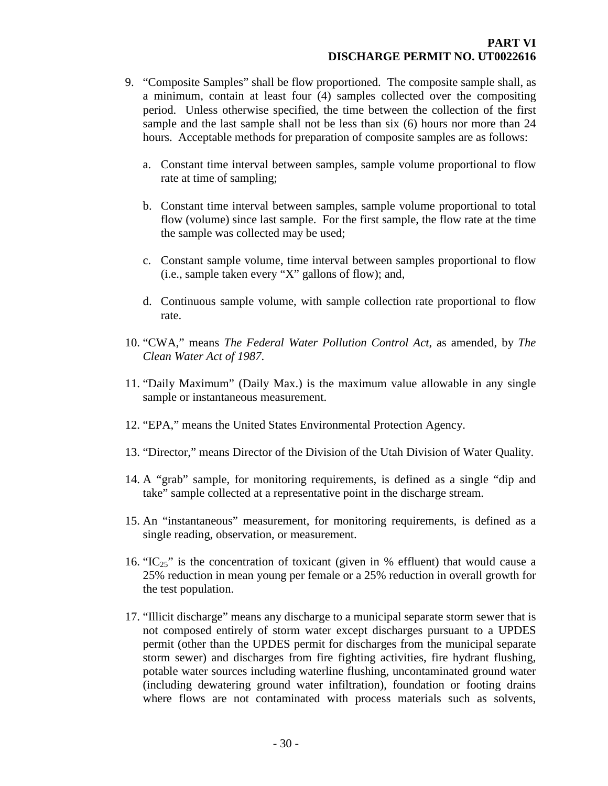- 9. "Composite Samples" shall be flow proportioned. The composite sample shall, as a minimum, contain at least four (4) samples collected over the compositing period. Unless otherwise specified, the time between the collection of the first sample and the last sample shall not be less than six (6) hours nor more than 24 hours. Acceptable methods for preparation of composite samples are as follows:
	- a. Constant time interval between samples, sample volume proportional to flow rate at time of sampling;
	- b. Constant time interval between samples, sample volume proportional to total flow (volume) since last sample. For the first sample, the flow rate at the time the sample was collected may be used;
	- c. Constant sample volume, time interval between samples proportional to flow (i.e., sample taken every "X" gallons of flow); and,
	- d. Continuous sample volume, with sample collection rate proportional to flow rate.
- 10. "CWA," means *The Federal Water Pollution Control Act*, as amended, by *The Clean Water Act of 1987*.
- 11. "Daily Maximum" (Daily Max.) is the maximum value allowable in any single sample or instantaneous measurement.
- 12. "EPA," means the United States Environmental Protection Agency.
- 13. "Director," means Director of the Division of the Utah Division of Water Quality.
- 14. A "grab" sample, for monitoring requirements, is defined as a single "dip and take" sample collected at a representative point in the discharge stream.
- 15. An "instantaneous" measurement, for monitoring requirements, is defined as a single reading, observation, or measurement.
- 16. " $IC_{25}$ " is the concentration of toxicant (given in % effluent) that would cause a 25% reduction in mean young per female or a 25% reduction in overall growth for the test population.
- 17. "Illicit discharge" means any discharge to a municipal separate storm sewer that is not composed entirely of storm water except discharges pursuant to a UPDES permit (other than the UPDES permit for discharges from the municipal separate storm sewer) and discharges from fire fighting activities, fire hydrant flushing, potable water sources including waterline flushing, uncontaminated ground water (including dewatering ground water infiltration), foundation or footing drains where flows are not contaminated with process materials such as solvents,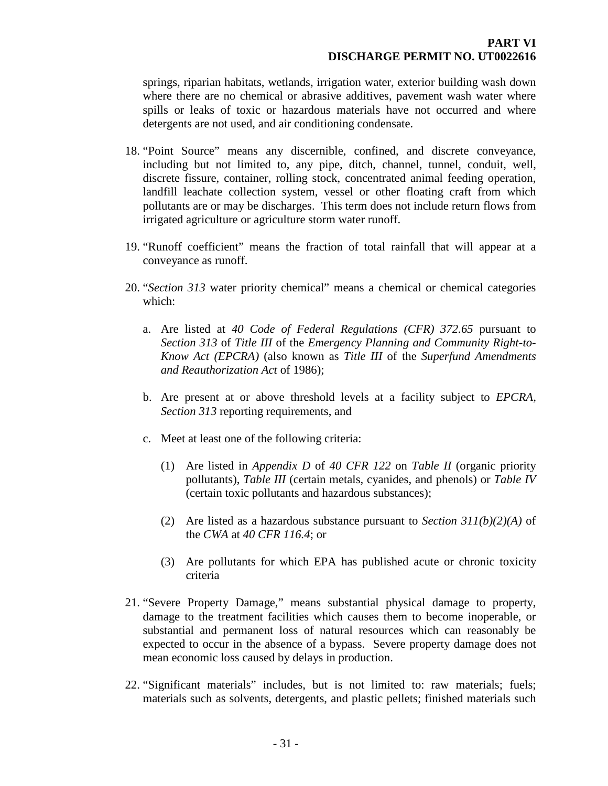springs, riparian habitats, wetlands, irrigation water, exterior building wash down where there are no chemical or abrasive additives, pavement wash water where spills or leaks of toxic or hazardous materials have not occurred and where detergents are not used, and air conditioning condensate.

- 18. "Point Source" means any discernible, confined, and discrete conveyance, including but not limited to, any pipe, ditch, channel, tunnel, conduit, well, discrete fissure, container, rolling stock, concentrated animal feeding operation, landfill leachate collection system, vessel or other floating craft from which pollutants are or may be discharges. This term does not include return flows from irrigated agriculture or agriculture storm water runoff.
- 19. "Runoff coefficient" means the fraction of total rainfall that will appear at a conveyance as runoff.
- 20. "*Section 313* water priority chemical" means a chemical or chemical categories which:
	- a. Are listed at *40 Code of Federal Regulations (CFR) 372.65* pursuant to *Section 313* of *Title III* of the *Emergency Planning and Community Right-to-Know Act (EPCRA)* (also known as *Title III* of the *Superfund Amendments and Reauthorization Act* of 1986);
	- b. Are present at or above threshold levels at a facility subject to *EPCRA, Section 313* reporting requirements, and
	- c. Meet at least one of the following criteria:
		- (1) Are listed in *Appendix D* of *40 CFR 122* on *Table II* (organic priority pollutants), *Table III* (certain metals, cyanides, and phenols) or *Table IV* (certain toxic pollutants and hazardous substances);
		- (2) Are listed as a hazardous substance pursuant to *Section 311(b)(2)(A)* of the *CWA* at *40 CFR 116.4*; or
		- (3) Are pollutants for which EPA has published acute or chronic toxicity criteria
- 21. "Severe Property Damage," means substantial physical damage to property, damage to the treatment facilities which causes them to become inoperable, or substantial and permanent loss of natural resources which can reasonably be expected to occur in the absence of a bypass. Severe property damage does not mean economic loss caused by delays in production.
- 22. "Significant materials" includes, but is not limited to: raw materials; fuels; materials such as solvents, detergents, and plastic pellets; finished materials such